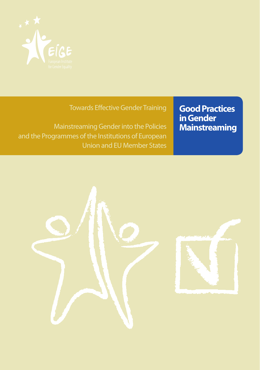

Towards Effective Gender Training

Mainstreaming Gender into the Policies and the Programmes of the Institutions of European Union and EU Member States **Good Practices in Gender Mainstreaming**

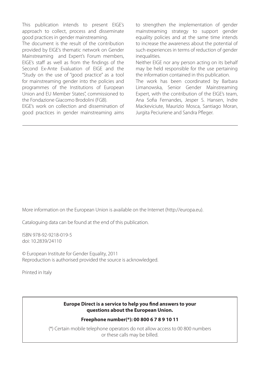This publication intends to present EIGE's approach to collect, process and disseminate good practices in gender mainstreaming.

The document is the result of the contribution provided by EIGE's thematic network on Gender Mainstreaming and Expert's Forum members, EIGE's staff as well as from the findings of the Second Ex-Ante Evaluation of EIGE and the "Study on the use of "good practice" as a tool for mainstreaming gender into the policies and programmes of the Institutions of European Union and EU Member States", commissioned to the Fondazione Giacomo Brodolini (FGB).

EIGE's work on collection and dissemination of good practices in gender mainstreaming aims

to strengthen the implementation of gender mainstreaming strategy to support gender equality policies and at the same time intends to increase the awareness about the potential of such experiences in terms of reduction of gender inequalities.

Neither EIGE nor any person acting on its behalf may be held responsible for the use pertaining the information contained in this publication.

The work has been coordinated by Barbara Limanowska, Senior Gender Mainstreaming Expert, with the contribution of the EIGE's team, Ana Sofia Fernandes, Jesper S. Hansen, Indre Mackeviciute, Maurizio Mosca, Santiago Moran, Jurgita Peciuriene and Sandra Pfleger.

More information on the European Union is available on the Internet (http://europa.eu).

Cataloguing data can be found at the end of this publication.

ISBN 978-92-9218-019-5 doi: 10.2839/24110

© European Institute for Gender Equality, 2011 Reproduction is authorised provided the source is acknowledged.

Printed in Italy

#### **Europe Direct is a service to help you find answers to your questions about the European Union.**

#### **Freephone number(\*): 00 800 6 7 8 9 10 11**

(\*) Certain mobile telephone operators do not allow access to 00 800 numbers or these calls may be billed.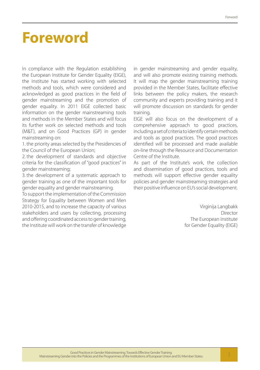## **Foreword**

In compliance with the Regulation establishing the European Institute for Gender Equality (EIGE), the Institute has started working with selected methods and tools, which were considered and acknowledged as good practices in the field of gender mainstreaming and the promotion of gender equality. In 2011 EIGE collected basic information on the gender mainstreaming tools and methods in the Member States and will focus its further work on selected methods and tools (M&T), and on Good Practices (GP) in gender mainstreaming on:

1. the priority areas selected by the Presidencies of the Council of the European Union;

2. the development of standards and objective criteria for the classification of "good practices" in gender mainstreaming;

3. the development of a systematic approach to gender training as one of the important tools for gender equality and gender mainstreaming.

To support the implementation of the Commission Strategy for Equality between Women and Men 2010-2015, and to increase the capacity of various stakeholders and users by collecting, processing and offering coordinated access to gender training, the Institute will work on the transfer of knowledge in gender mainstreaming and gender equality, and will also promote existing training methods. It will map the gender mainstreaming training provided in the Member States, facilitate effective links between the policy makers, the research community and experts providing training and it will promote discussion on standards for gender training.

EIGE will also focus on the development of a comprehensive approach to good practices, including a set of criteria to identify certain methods and tools as good practices. The good practices identified will be processed and made available on-line through the Resource and Documentation Centre of the Institute.

As part of the Institute's work, the collection and dissemination of good practices, tools and methods will support effective gender equality policies and gender mainstreaming strategies and their positive influence on EU's social development.

> Virginija Langbakk Director The European Institute for Gender Equality (EIGE)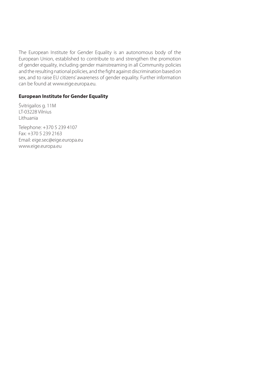The European Institute for Gender Equality is an autonomous body of the European Union, established to contribute to and strengthen the promotion of gender equality, including gender mainstreaming in all Community policies and the resulting national policies, and the fight against discrimination based on sex, and to raise EU citizens' awareness of gender equality. Further information can be found at www.eige.europa.eu.

#### **European Institute for Gender Equality**

Švitrigailos g. 11M LT-03228 Vilnius Lithuania

Telephone: +370 5 239 4107 Fax: +370 5 239 2163 Email: eige.sec@eige.europa.eu www.eige.europa.eu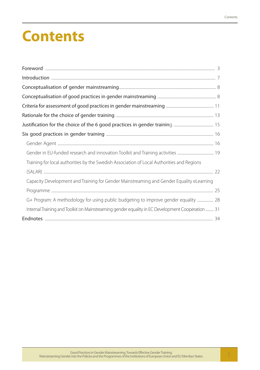# **Contents**

| Training for local authorities by the Swedish Association of Local Authorities and Regions       |  |
|--------------------------------------------------------------------------------------------------|--|
|                                                                                                  |  |
| Capacity Development and Training for Gender Mainstreaming and Gender Equality eLearning         |  |
|                                                                                                  |  |
| G+ Program: A methodology for using public budgeting to improve gender equality  28              |  |
| Internal Training and Toolkit on Mainstreaming gender equality in EC Development Cooperation  31 |  |
|                                                                                                  |  |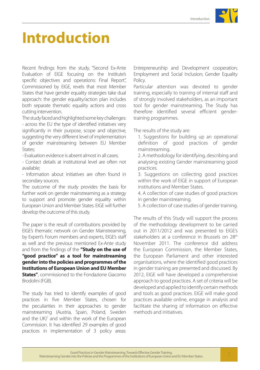# **Introduction**

Recent findings from the study, "Second Ex-Ante Evaluation of EIGE focusing on the Institute's specific objectives and operations: Final Report", Commissioned by EIGE, revels that most Member States that have gender equality strategies take dual approach: the gender equality/action plan includes both separate thematic equality actions and cross cutting intervention.

The study faced and highlighted some key challenges: - across the EU the type of identified initiatives very significantly in their purpose, scope and objective, suggesting the very different level of implementation of gender mainstreaming between EU Member States;

- Evaluation evidence is absent almost in all cases;

- Contact details at institutional level are often not available;

- Information about initiatives are often found in secondary sources.

The outcome of the study provides the basis for further work on gender mainstreaming as a strategy to support and promote gender equality within European Union and Member States. EIGE will further develop the outcome of this study.

The paper is the result of contributions provided by EIGE's thematic network on Gender Mainstreaming, by Expert's Forum members and experts, EIGE's staff as well and the previous mentioned Ex-Ante study and from the findings of the **"Study on the use of "good practice" as a tool for mainstreaming gender into the policies and programmes of the Institutions of European Union and EU Member States"**, commissioned to the Fondazione Giacomo Brodolini (FGB).

The study has tried to identify examples of good practices in five Member States, chosen for the peculiarities in their approaches to gender mainstreaming (Austria, Spain, Poland, Sweden and the UK)<sup>1</sup> and within the work of the European Commission. It has identified 29 examples of good practices in implementation of 3 policy areas:

Entrepreneurship and Development cooperation; Employment and Social Inclusion; Gender Equality Policy.

Particular attention was devoted to gender training, especially to training of internal staff and of strongly involved stakeholders, as an important tool for gender mainstreaming. The Study has therefore identified several efficient gendertraining programmes.

The results of the study are:

1. Suggestions for building up an operational definition of good practices of gender mainstreaming.

2. A methodology for identifying, describing and analysing existing Gender mainstreaming good practices.

3. Suggestions on collecting good practices within the work of EIGE in support of European institutions and Member States.

4. A collection of case studies of good practices in gender mainstreaming.

5. A collection of case studies of gender training.

The results of this Study will support the process of the methodology development to be carried out in 2011/2012 and was presented to EIGE's stakeholders at a conference in Brussels on 28<sup>th</sup> November 2011. The conference did address the European Commission, the Member States, the European Parliament and other interested organisations, where the identified good practices in gender training are presented and discussed. By 2012, EIGE will have developed a comprehensive approach to good practices. A set of criteria will be developed and applied to identify certain methods and tools as good practices. EIGE will make good practices available online, engage in analysis and facilitate the sharing of information on effective methods and initiatives.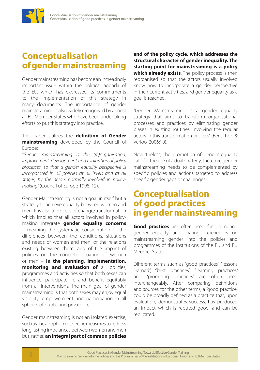

## **Conceptualisation of gender mainstreaming**

Gender mainstreaming has become an increasingly important issue within the political agenda of the EU, which has expressed its commitments to the implementation of this strategy in many documents. The importance of gender mainstreaming is also widely recognised by almost all EU Member States who have been undertaking efforts to put this strategy into practice.

This paper utilizes the **definition of Gender mainstreaming** developed by the Council of Europe:

*"Gender mainstreaming is the (re)organisation, improvement, development and evaluation of policy processes, so that a gender equality perspective is incorporated in all policies at all levels and at all stages, by the actors normally involved in policymaking"* (Council of Europe 1998: 12).

Gender Mainstreaming is not a goal in itself but a strategy to achieve equality between women and men. It is also a process of change/transformation which implies that all actors involved in policymaking integrate **gender equality concerns**  – meaning the systematic consideration of the differences between the conditions, situations and needs of women and men, of the relations existing between them, and of the impact of policies on the concrete situation of women or men – **in the planning, implementation, monitoring and evaluation of** all policies, programmes and activities so that both sexes can influence, participate in, and benefit equitably from all interventions. The main goal of gender mainstreaming is that both sexes may enjoy equal visibility, empowerment and participation in all spheres of public and private life.

Gender mainstreaming is not an isolated exercise, such as the adoption of specific measures to redress long lasting imbalances between women and men but, rather, **an integral part of common policies** 

**and of the policy cycle, which addresses the structural character of gender inequality. The starting point for mainstreaming is a policy which already exists**. The policy process is then reorganised so that the actors usually involved know how to incorporate a gender perspective in their current activities, and gender equality as a goal is reached.

"Gender Mainstreaming is a gender equality strategy that aims to transform organisational processes and practices by eliminating gender biases in existing routines, involving the regular actors in this transformation process" (Benschop & Verloo, 2006:19).

Nevertheless, the promotion of gender equality calls for the use of a dual strategy, therefore gender mainstreaming needs to be complemented by specific policies and actions targeted to address specific gender gaps or challenges.

## **Conceptualisation of good practices in gender mainstreaming**

**Good practices** are often used for promoting gender equality and sharing experiences on mainstreaming gender into the policies and programmes of the Institutions of the EU and EU Member States.

Different terms such as "good practices", "lessons learned", "best practices", "learning practices" and "promising practices" are often used interchangeably. After comparing definitions and sources for the other terms, a "good practice" could be broadly defined as a practice that, upon evaluation, demonstrates success, has produced an impact which is reputed good, and can be replicated.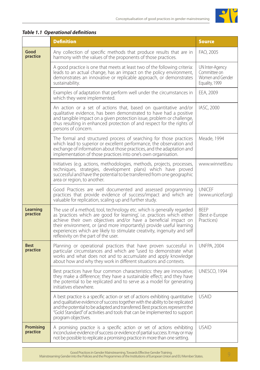

|                         | <b>Definition</b>                                                                                                                                                                                                                                                                                                                                                                                                | <b>Source</b>                                                         |
|-------------------------|------------------------------------------------------------------------------------------------------------------------------------------------------------------------------------------------------------------------------------------------------------------------------------------------------------------------------------------------------------------------------------------------------------------|-----------------------------------------------------------------------|
| Good<br>practice        | Any collection of specific methods that produce results that are in<br>harmony with the values of the proponents of those practices.                                                                                                                                                                                                                                                                             | FAO, 2005                                                             |
|                         | A good practice is one that meets at least two of the following criteria:<br>leads to an actual change, has an impact on the policy environment,<br>demonstrates an innovative or replicable approach, or demonstrates<br>sustainability.                                                                                                                                                                        | UN Inter-Agency<br>Committee on<br>Women and Gender<br>Equality, 1999 |
|                         | Examples of adaptation that perform well under the circumstances in<br>which they were implemented.                                                                                                                                                                                                                                                                                                              | EEA, 2009                                                             |
|                         | An action or a set of actions that, based on quantitative and/or<br>qualitative evidence, has been demonstrated to have had a positive<br>and tangible impact on a given protection issue, problem or challenge,<br>thus resulting in enhanced protection of and respect for the rights of<br>persons of concern.                                                                                                | IASC, 2000                                                            |
|                         | The formal and structured process of searching for those practices<br>which lead to superior or excellent performance, the observation and<br>exchange of information about those practices, and the adaptation and<br>implementation of those practices into one's own organisation.                                                                                                                            | Meade, 1994                                                           |
|                         | Initiatives (e.g. actions, methodologies, methods, projects, processes,<br>techniques, strategies, development plans) which have proved<br>successful and have the potential to be transferred from one geographic<br>area or region, to another.                                                                                                                                                                | www.winnet8.eu                                                        |
|                         | Good Practices are well documented and assessed programming<br>practices that provide evidence of success/impact and which are<br>valuable for replication, scaling up and further study.                                                                                                                                                                                                                        | <b>UNICEF</b><br>(www.unicef.org)                                     |
| Learning<br>practice    | The use of a method, tool, technology etc. which is generally regarded<br>as 'practices which are good for learning', i.e. practices which either<br>achieve their own objectives and/or have a beneficial impact on<br>their environment, or (and more importantly) provide useful learning<br>experiences which are likely to stimulate creativity, ingenuity and self<br>reflexivity on the part of the user. | <b>BEEP</b><br>(Best e-Europe<br>Practices)                           |
| <b>Best</b><br>practice | Planning or operational practices that have proven successful in<br>particular circumstances and which are "used to demonstrate what<br>works and what does not and to accumulate and apply knowledge<br>about how and why they work in different situations and contexts.                                                                                                                                       | <b>UNFPA, 2004</b>                                                    |
|                         | Best practices have four common characteristics: they are innovative;<br>they make a difference; they have a sustainable effect; and they have<br>the potential to be replicated and to serve as a model for generating<br>initiatives elsewhere.                                                                                                                                                                | <b>UNESCO, 1994</b>                                                   |
|                         | A best practice is a specific action or set of actions exhibiting quantitative<br>and qualitative evidence of success together with the ability to be replicated<br>and the potential to be adapted and transferred. Best practices represent the<br>"Gold Standard" of activities and tools that can be implemented to support<br>program objectives.                                                           | <b>USAID</b>                                                          |
| Promising<br>practice   | A promising practice is a specific action or set of actions exhibiting<br>inconclusive evidence of success or evidence of partial success. It may or may<br>not be possible to replicate a promising practice in more than one setting.                                                                                                                                                                          | <b>USAID</b>                                                          |

#### *Table 1.1 Operational definitions*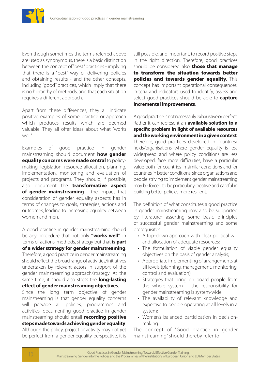

Even though sometimes the terms referred above are used as synonymous, there is a basic distinction between the concept of "best" practices - implying that there is a "best" way of delivering policies and obtaining results - and the other concepts, including "good" practices, which imply that there is no hierarchy of methods, and that each situation requires a different approach.

Apart from these differences, they all indicate positive examples of some practice or approach which produces results which are deemed valuable. They all offer ideas about what "works well".

Examples of good practice in gender mainstreaming should document **how gender equality concerns were made central** to policymaking, legislation, resource allocation, planning, implementation, monitoring and evaluation of projects and programs. They should, if possible, also document the **transformative aspect of gender mainstreaming** - the impact that consideration of gender equality aspects has in terms of changes to goals, strategies, actions and outcomes, leading to increasing equality between women and men.

A good practice in gender mainstreaming should be any procedure that not only **"works well"** in terms of actions, methods, strategy but that **is part of a wider strategy for gender mainstreaming**. Therefore, a good practice in gender mainstreaming should reflect the broad range of activities/initiatives undertaken by relevant actors in support of the gender mainstreaming approach/strategy. At the same time, it should also stress the **long-lasting effect of gender mainstreaming objectives**.

Since the long term objective of gender mainstreaming is that gender equality concerns will pervade all policies, programmes and activities, documenting good practice in gender mainstreaming should entail **recording positive steps made towards achieving gender equality**. Although the policy, project or activity may not yet be perfect from a gender equality perspective, it is

still possible, and important, to record positive steps in the right direction. Therefore, good practices should be considered also **those that manage** to transform the situation towards better policies and towards gender equality. This concept has important operational consequences: criteria and indicators used to identify, assess and select good practices should be able to **capture incremental improvements**.

A good practice is not necessarily exhaustive or perfect. Rather it can represent an **available solution to a specific problem in light of available resources and the working environment in a given context**. Therefore, good practices developed in countries/ fields/organisations where gender equality is less widespread and where policy conditions are less developed, face more difficulties, have a particular value both for countries in similar conditions and for countries in better conditions, since organisations and people striving to implement gender mainstreaming may be forced to be particularly creative and careful in building better policies more resilient.

The definition of what constitutes a good practice in gender mainstreaming may also be supported by literature<sup>2</sup> asserting some basic principles of successful gender mainstreaming and some prerequisites:

- A top-down approach with clear political will and allocation of adequate resources;
- The formulation of viable gender equality objectives on the basis of gender analysis;
- • Appropriate implementing of arrangements at all levels (planning, management, monitoring, control and evaluation);
- Strategies that bring on board people from the whole system – the responsibility for gender mainstreaming is system-wide;
- The availability of relevant knowledge and expertise to people operating at all levels in a system;
- Women's balanced participation in decisionmaking.

The concept of "Good practice in gender mainstreaming" should thereby refer to: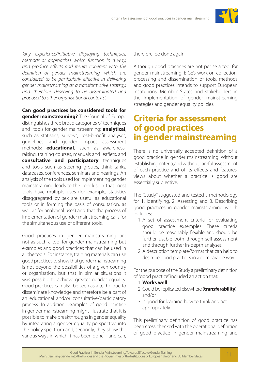

*"any experience/initiative displaying techniques, methods or approaches which function in a way, and produce effects and results coherent with the definition of gender mainstreaming, which are considered to be particularly effective in delivering gender mainstreaming as a transformative strategy, and, therefore, deserving to be disseminated and proposed to other organisational contexts".*

**Can good practices be considered tools for gender mainstreaming?** The Council of Europe distinguishes three broad categories of techniques and tools for gender mainstreaming: **analytical**, such as statistics, surveys, cost-benefit analyses, guidelines and gender impact assessment methods; **educational**, such as awarenessraising, training courses, manuals and leaflets, and **consultative and participatory** techniques and tools such as steering groups, think tanks, databases, conferences, seminars and hearings. An analysis of the tools used for implementing gender mainstreaming leads to the conclusion that most tools have multiple uses (for example, statistics disaggregated by sex are useful as educational tools or in forming the basis of consultation, as well as for analytical uses) and that the process of implementation of gender mainstreaming calls for the simultaneous use of different tools.

Good practices in gender mainstreaming are not as such a tool for gender mainstreaming but examples and good practices that can be used in all the tools. For instance, training materials can use good practices to show that gender mainstreaming is not beyond the possibilities of a given country or organisation, but that in similar situations it was possible to achieve greater gender equality. Good practices can also be seen as a technique to disseminate knowledge and therefore be a part of an educational and/or consultative/participatory process. In addition, examples of good practice in gender mainstreaming might illustrate that it is possible to make breakthroughs in gender equality by integrating a gender equality perspective into the policy spectrum and, secondly, they show the various ways in which it has been done – and can,

therefore, be done again.

Although good practices are not per se a tool for gender mainstreaming, EIGE's work on collection, processing and dissemination of tools, methods and good practices intends to support European Institutions, Member States and stakeholders in the implementation of gender mainstreaming strategies and gender equality policies.

## **Criteria for assessment of good practices in gender mainstreaming**

There is no universally accepted definition of a good practice in gender mainstreaming. Without establishing criteria, and without careful assessment of each practice and of its effects and features, views about whether a practice is good are essentially subjective.

The "Study" suggested and tested a methodology for 1. Identifying, 2. Assessing and 3. Describing good practices in gender mainstreaming which includes:

- 1. A set of assessment criteria for evaluating good practice exsemples. These criteria should be reasonably flexible and should be further usable both through self-assessment and through further in-depth analyses.
- 2. A description template/format that can help to describe good practices in a comparable way.

For the purpose of the Study a preliminary definition of "good practice" included an action that:

- 1. **Works well**
- 2. Could be replicated elsewhere (**transferability**) and/or
- 3. Is good for learning how to think and act appropriately.

This preliminary definition of good practice has been cross checked with the operational definition of good practice in gender mainstreaming and

Good Practices in Gender Mainstreaming. Towards Effective Gender Training. Mainstreaming Gender into the Policies and the Programmes of the Institutions of European Union and EU Member States. 11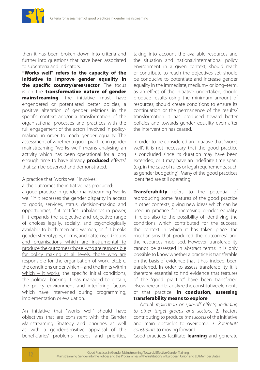

then it has been broken down into criteria and further into questions that have been associated to subcriteria and indicators.

**"Works well" refers to the capacity of the initiative to improve gender equality in the specific country/area/sector**. The focus is on the **transformative nature of gender mainstreaming**: the initiative must have engendered or potentiated better policies, a positive alteration of gender relations in the specific context and/or a transformation of the organisational processes and practices with the full engagement of the actors involved in policymaking, in order to reach gender equality. The assessment of whether a good practice in gender mainstreaming "works well" means analysing an activity which has been operational for a long enough time to have already **produced** effects<sup>3</sup> that can be observed and demonstrated.

- A practice that "works well" involves:
- a. the outcomes the initiative has produced:

a good practice in gender mainstreaming "works well" if it redresses the gender disparity in access to goods, services, status, decision-making and opportunities, if it rectifies unbalances in power, if it expands the subjective and objective range of choices legally, socially, and psychologically available to both men and women, or if it breaks gender stereotypes, norms, and patterns; b. Groups and organisations which are instrumental to produce the outcomes (those who are responsible for policy making at all levels, those who are responsible for the organisation of work, etc.); c. the conditions under which – and the limits within which – it works: the specific initial conditions, the political backing it has managed to obtain, the policy environment and interfering factors which have intervened during programming, implementation or evaluation.

An initiative that "works well" should have objectives that are consistent with the Gender Mainstreaming Strategy and priorities as well as with a gender-sensitive appraisal of the beneficiaries' problems, needs and priorities,

taking into account the available resources and the situation and national/international policy environment in a given context; should reach or contribute to reach the objectives set; should be conducive to potentiate and increase gender equality in the immediate, medium– or long–term, as an effect of the initiative undertaken; should produce results using the minimum amount of resources; should create conditions to ensure its continuation or the permanence of the results/ transformation it has produced toward better policies and towards gender equality even after the intervention has ceased.

In order to be considered an initiative that "works well", it is not necessary that the good practice is concluded since its duration may have been extended, or it may have an indefinite time span, (e.g. in the case of rules or legal requirements, such as gender budgeting). Many of the good practices identified are still operating.

**Transferability** refers to the potential of reproducing some features of the good practice in other contexts, giving new ideas which can be used in practice for increasing gender equality. It refers also to the possibility of identifying the conditions which contributed for the success, the context in which it has taken place, the mechanisms that produced the outcomes<sup>4</sup> and the resources mobilised. However, transferability cannot be assessed in abstract terms: it is only possible to know whether a practice is transferable on the basis of evidence that it has, indeed, been transferred. In order to assess transferability it is therefore essential to find evidence that features of the "good practice" have been transferred elsewhere and to analyze the constitutive elements of that practice. **In conclusion, assessing transferability means to explore**:

1. Actual *replication or spin-off effects, including to other target groups and sectors*. 2. Factors contributing to produce *the success* of the initiative and main obstacles to overcome. 3. *Potential/ constraints* to moving forward.

Good practices facilitate **learning** and generate

Good Practices in Gender Mainstreaming. Towards Effective Gender Training. <sup>12</sup> Mainstreaming Gender into the Policies and the Programmes of the Institutions of European Union and EU Member States.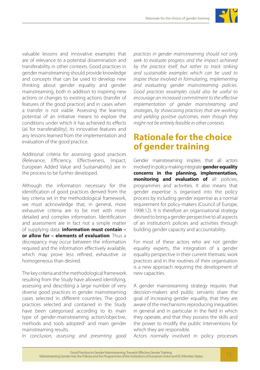

valuable lessons and innovative examples that are of relevance to a potential dissemination and transferability in other contexts. Good practices in gender mainstreaming should provide knowledge and concepts that can be used to develop new thinking about gender equality and gender mainstreaming, both in addition to inspiring new actions or changes to existing actions (transfer of features of the good practice) and in cases when a transfer is not viable. Assessing the learning potential of an initiative means to explore the conditions under which it has achieved its effects (as for transferability), its innovative features and any lessons learned from the implementation and evaluation of the good practice.

Additional criteria for assessing good practices (Relevance, Efficiency, Effectiveness, Impact, European Added Value and Sustainability) are in the process to be further developed.

Although the information necessary for the identification of good practices derived from the key criteria set in the methodological framework, we must acknowledge that, in general, more exhaustive criteria are to be met with more detailed and complex information. Identification and assessment are in fact not a simple matter of supplying data: **information must contain – or allow for – elements of evaluation**. Thus a discrepancy may occur between the information required and the information effectively available, which may prove less refined, exhaustive or homogeneous than desired.

The key criteria and the methodological framework resulting from the Study have allowed identifying, assessing and describing a large number of very diverse good practices in gender mainstreaming cases selected in different countries. The good practices selected and contained in the Study have been categorised according to its main type of gender-mainstreaming action/objective, methods and tools adopted<sup>5</sup> and main gender mainstreaming results.

*In conclusion, assessing and presenting good* 

*practices in gender mainstreaming should not only seek to evaluate progress and the impact achieved by the practice itself, but rather to track striking and sustainable examples which can be used to inspire those involved in formulating, implementing and evaluating gender mainstreaming policies. Good practices exsamples could also be useful to encourage an increased commitment to the effective implementation of gender mainstreaming and strategies, by showcasing practices that are working and yielding positive outcomes, even though they might not be entirely feasible in other contexts.*

## **Rationale for the choice of gender training**

Gender mainstreaming implies that all actors involved in policy-making integrate **gender equality concerns in the planning, implementation, monitoring and evaluation of** all policies, programmes and activities. It also means that gender expertise is organised into the policy process by including gender expertise as a normal requirement for policy-makers (Council of Europe, 1998:12). It is therefore an organisational strategy devised to bring a gender perspective to all aspects of an institution's policies and activities through building gender capacity and accountability.

For most of these actors who are not gender equality experts, the integration of a gender equality perspective in their current thematic work practices and in the routines of their organisation is a new approach requiring the development of new capacities.

A gender mainstreaming strategy requires that decision-makers and public servants share the goal of increasing gender equality, that they are aware of the mechanisms reproducing inequalities in general and in particular in the field in which they operate, and that they possess the skills and the power to modify the public interventions for which they are responsible.

Actors normally involved in policy processes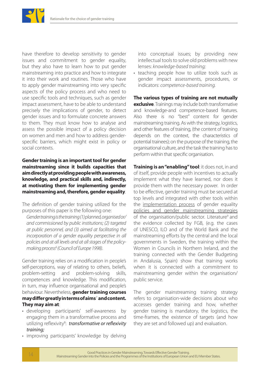

have therefore to develop sensitivity to gender issues and commitment to gender equality, but they also have to learn how to put gender mainstreaming into practice and how to integrate it into their work and routines. Those who have to apply gender mainstreaming into very specific aspects of the policy process and who need to use specific tools and techniques, such as gender impact assessment, have to be able to understand precisely the implications of gender, to detect gender issues and to formulate concrete answers to them. They must know how to analyse and assess the possible impact of a policy decision on women and men and how to address genderspecific barriers, which might exist in policy or social contexts.

**Gender training is an important tool for gender mainstreaming since it builds capacities that aim directly at providing people with awareness, knowledge, and practical skills and, indirectly, at motivating them for implementing gender mainstreaming and, therefore, gender equality**.

The definition of gender training utilized for the purposes of this paper is the following one:

*Gender training is the training (1) planned, organised or/ and commissioned by public institutions; (2) targeted at public personnel, and (3) aimed at facilitating the incorporation of a gender equality perspective in all policies and at all levels and at all stages of the policy*making process<sup>6</sup> (Council of Europe 1998).

Gender training relies on a modification in people's self-perceptions, way of relating to others, beliefs, problem-setting and problem-solving skills, competences and knowledge. This modification, in turn, may influence organisational and people's behaviour. Nevertheless, **gender training courses may differ greatly in terms of aims**<sup>7</sup>  **and content. They may aim at**:

- developing participants' self-awareness by engaging them in a transformative process and utilizing reflexivity<sup>8</sup>: *transformative or reflexivity training;*
- improving participants' knowledge by delving

into conceptual issues; by providing new intellectual tools to solve old problems with new lenses: *knowledge-based training;*

• teaching people how to utilize tools such as gender impact assessments, procedures, or indicators: *competence-based training.*

**The various types of training are not mutually exclusive**. Trainings may include both transformative and knowledge-and competence-based features. Also there is no "best" content for gender mainstreaming training. As with the strategy, logistics, and other features of training, (the content of training depends on the context, the characteristics of potential trainees); on the purpose of the training, the organisational culture, and the task the training has to perform within that specific organisation.

**Training is an "enabling" tool**: it does not, in and of itself, provide people with incentives to actually implement what they have learned, nor does it provide them with the necessary power. In order to be effective, gender training must be secured at top levels and integrated with other tools within the implementation process of gender equality policies and gender mainstreaming strategies of the organisation/public sector. Literature<sup>9</sup> and the evidence collected by FGB, (e.g. the cases of UNESCO, ILO and of the World Bank and the mainstreaming efforts by the central and the local governments in Sweden, the training within the Women in Councils in Northern Ireland, and the training connected with the Gender Budgeting in Andalusia, Spain) show that training works when it is connected with a commitment to mainstreaming gender within the organisation/ public service.

The gender mainstreaming training strategy refers to organisation-wide decisions about who accesses gender training and how, whether gender training is mandatory, the logistics, the time-frames, the existence of targets (and how they are set and followed up) and evaluation.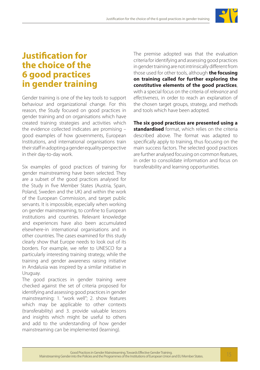

## **Justification for the choice of the 6 good practices in gender training**

Gender training is one of the key tools to support behaviour and organizational change. For this reason, the Study focused on good practices in gender training and on organisations which have created training strategies and activities which the evidence collected indicates are promising – good examples of how governments, European Institutions, and international organisations train their staff in adopting a gender equality perspective in their day-to-day work.

Six examples of good practices of training for gender mainstreaming have been selected. They are a subset of the good practices analysed for the Study in five Member States (Austria, Spain, Poland, Sweden and the UK) and within the work of the European Commission, and target public servants. It is impossible, especially when working on gender mainstreaming, to confine to European institutions and countries. Relevant knowledge and experiences have also been accumulated elsewhere-in international organisations and in other countries. The cases examined for this study clearly show that Europe needs to look out of its borders. For example, we refer to UNESCO for a particularly interesting training strategy, while the training and gender awareness raising initiative in Andalusia was inspired by a similar initiative in Uruguay.

The good practices in gender training were checked against the set of criteria proposed for identifying and assessing good practices in gender mainstreaming: 1. "work well"; 2. show features which may be applicable to other contexts (transferability) and 3. provide valuable lessons and insights which might be useful to others and add to the understanding of how gender mainstreaming can be implemented (learning).

The premise adopted was that the evaluation criteria for identifying and assessing good practices in gender training are not intrinsically different from those used for other tools, although **the focusing on training called for further exploring the constitutive elements of the good practices**, with a special focus on the criteria of *relevance* and *effectiveness*, in order to reach an explanation of the chosen target groups, strategy, and methods and tools which have been adopted.

**The six good practices are presented using a standardised** format, which relies on the criteria described above. The format was adapted to specifically apply to training, thus focusing on the main success factors. The selected good practices are further analysed focusing on common features, in order to consolidate information and focus on transferability and learning opportunities.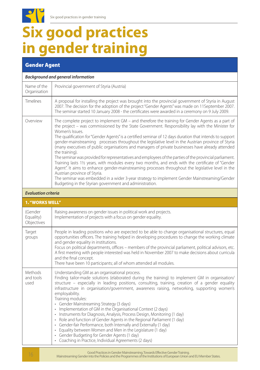# **Six good practices in gender training**

### Gender Agent

 $\mathbf{C}$ 

#### *Background and general information*

| Name of the<br>Organisation | Provincial government of Styria (Austria)                                                                                                                                                                                                                                                                                                                                                                                                                                                                                                                                                                                                                                                                                                                                                                                                                                                                                                                                                                                                                                         |
|-----------------------------|-----------------------------------------------------------------------------------------------------------------------------------------------------------------------------------------------------------------------------------------------------------------------------------------------------------------------------------------------------------------------------------------------------------------------------------------------------------------------------------------------------------------------------------------------------------------------------------------------------------------------------------------------------------------------------------------------------------------------------------------------------------------------------------------------------------------------------------------------------------------------------------------------------------------------------------------------------------------------------------------------------------------------------------------------------------------------------------|
| Timelines                   | A proposal for installing the project was brought into the provincial government of Styria in August<br>2007. The decision for the adoption of the project "Gender Agents" was made on 11 September 2007.<br>The seminar started 10 January 2008 - the certificates were awarded in a ceremony on 9 July 2009.                                                                                                                                                                                                                                                                                                                                                                                                                                                                                                                                                                                                                                                                                                                                                                    |
| Overview                    | The complete project to implement GM – and therefore the training for Gender Agents as a part of<br>the project – was commissioned by the State Government. Responsibility lay with the Minister for<br>Women's Issues.<br>The qualification for "Gender Agents" is a certified seminar of 12 days duration that intends to support<br>gender-mainstreaming processes throughout the legislative level in the Austrian province of Styria<br>(many executives of public organisations and managers of private businesses have already attended<br>the training).<br>The seminar was provided for representatives and employees of the parties of the provincial parliament.<br>Training lasts 11/2 years, with modules every two months, and ends with the certificate of "Gender<br>Agent". It aims to enhance gender-mainstreaming processes throughout the legislative level in the<br>Austrian province of Styria.<br>The seminar was embedded in a wider 3-year strategy to implement Gender Mainstreaming/Gender<br>Budgeting in the Styrian government and administration. |

#### *Evaluation criteria*

| <b>1. "WORKS WELL"</b>             |                                                                                                                                                                                                                                                                                                                                                                                                                                                                                                                                                                                                                                                                                                                                                                                                                                                                                                                                                         |  |
|------------------------------------|---------------------------------------------------------------------------------------------------------------------------------------------------------------------------------------------------------------------------------------------------------------------------------------------------------------------------------------------------------------------------------------------------------------------------------------------------------------------------------------------------------------------------------------------------------------------------------------------------------------------------------------------------------------------------------------------------------------------------------------------------------------------------------------------------------------------------------------------------------------------------------------------------------------------------------------------------------|--|
| (Gender<br>Equality)<br>Objectives | Raising awareness on gender issues in political work and projects.<br>Implementation of projects with a focus on gender equality.                                                                                                                                                                                                                                                                                                                                                                                                                                                                                                                                                                                                                                                                                                                                                                                                                       |  |
| Target<br>groups                   | People in leading positions who are expected to be able to change organisational structures, equal<br>opportunities officers. The training helped in developing procedures to change the working climate<br>and gender equality in institutions.<br>Focus on political departments, offices - members of the provincial parliament, political advisors, etc.<br>A first meeting with people interested was held in November 2007 to make decisions about curricula<br>and the final concept.<br>There have been 10 participants; all of whom attended all modules.                                                                                                                                                                                                                                                                                                                                                                                      |  |
| Methods<br>and tools<br>used       | Understanding GM as an organisational process.<br>Finding tailor-made solutions (elaborated during the training) to implement GM in organisation/<br>structure – especially in leading positions, consulting, training, creation of a gender equality<br>infrastructure in organisation/government, awareness raising, networking, supporting women's<br>employability.<br>Training modules:<br>• Gender Mainstreaming Strategy (3 days)<br>Implementation of GM in the Organisational Context (2 days)<br>Instruments for Diagnosis, Analysis, Process Design, Monitoring (1 day)<br>$\bullet$<br>Role and function of Gender Agents in the Regional Parliament (1 day)<br>$\bullet$<br>Gender-fair Performance, both Internally and Externally (1 day)<br>$\bullet$<br>• Equality between Women and Men in the Legislature (1 day)<br>Gender Budgeting for Gender Agents (1 day)<br>$\bullet$<br>Coaching in Practice, Individual Agreements (2 days) |  |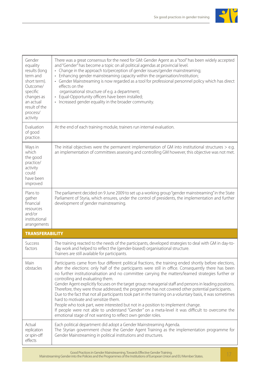

| Gender<br>equality<br>results (long<br>term and<br>short term).<br>Outcome/<br>specific<br>changes as<br>an actual<br>result of the | There was a great consensus for the need for GM: Gender Agent as a "tool" has been widely accepted<br>and "Gender" has become a topic on all political agendas at provincial level.<br>• Change in the approach to/perception of gender issues/gender mainstreaming;<br>• Enhancing gender mainstreaming capacity within the organisation/institution;<br>• Gender Mainstreaming is now regarded as a tool for professional personnel policy which has direct<br>effects on the<br>organisational structure of e.g. a department;<br>• Equal-Opportunity officers have been installed;<br>• Increased gender equality in the broader community.                                                                                                                                                                                                                                                                                                                                        |  |
|-------------------------------------------------------------------------------------------------------------------------------------|----------------------------------------------------------------------------------------------------------------------------------------------------------------------------------------------------------------------------------------------------------------------------------------------------------------------------------------------------------------------------------------------------------------------------------------------------------------------------------------------------------------------------------------------------------------------------------------------------------------------------------------------------------------------------------------------------------------------------------------------------------------------------------------------------------------------------------------------------------------------------------------------------------------------------------------------------------------------------------------|--|
| process/<br>activity                                                                                                                |                                                                                                                                                                                                                                                                                                                                                                                                                                                                                                                                                                                                                                                                                                                                                                                                                                                                                                                                                                                        |  |
| Evaluation<br>of good<br>practice.                                                                                                  | At the end of each training module, trainers run internal evaluation.                                                                                                                                                                                                                                                                                                                                                                                                                                                                                                                                                                                                                                                                                                                                                                                                                                                                                                                  |  |
| Ways in<br>which<br>the good<br>practice/<br>activity<br>could<br>have been<br>improved                                             | The initial objectives were the permanent implementation of GM into institutional structures $>$ e.g.<br>an implementation of committees assessing and controlling GM however, this objective was not met.                                                                                                                                                                                                                                                                                                                                                                                                                                                                                                                                                                                                                                                                                                                                                                             |  |
| Plans to<br>gather<br>financial<br>resources<br>and/or<br>institutional<br>arrangements                                             | The parliament decided on 9 June 2009 to set up a working group "gender mainstreaming" in the State<br>Parliament of Styria, which ensures, under the control of presidents, the implementation and further<br>development of gender mainstreaming.                                                                                                                                                                                                                                                                                                                                                                                                                                                                                                                                                                                                                                                                                                                                    |  |
| <b>TRANSFERABILITY</b>                                                                                                              |                                                                                                                                                                                                                                                                                                                                                                                                                                                                                                                                                                                                                                                                                                                                                                                                                                                                                                                                                                                        |  |
| Success<br>factors                                                                                                                  | The training reacted to the needs of the participants, developed strategies to deal with GM in day-to-<br>day work and helped to reflect the (gender-biased) organisational structure.<br>Trainers are still available for participants.                                                                                                                                                                                                                                                                                                                                                                                                                                                                                                                                                                                                                                                                                                                                               |  |
| Main<br>obstacles                                                                                                                   | Participants came from four different political fractions, the training ended shortly before elections,<br>after the elections: only half of the participants were still in office. Consequently there has been<br>no further institutionalisation and no committee carrying the matters/learned strategies further or<br>controlling and evaluating them.<br>Gender Agent explicitly focuses on the target group: managerial staff and persons in leading positions.<br>Therefore, they were those addressed; the programme has not covered other potential participants.<br>Due to the fact that not all participants took part in the training on a voluntary basis, it was sometimes<br>hard to motivate and sensitize them.<br>People who took part, were interested but not in a position to implement change.<br>If people were not able to understand "Gender" on a meta-level it was difficult to overcome the<br>emotional stage of not wanting to reflect own gender roles. |  |
| Actual<br>replication<br>or spin-off<br>effects                                                                                     | Each political department did adopt a Gender Mainstreaming Agenda.<br>The Styrian government chose the Gender Agent Training as the implementation programme for<br>Gender Mainstreaming in political institutions and structures.                                                                                                                                                                                                                                                                                                                                                                                                                                                                                                                                                                                                                                                                                                                                                     |  |

Good Practices in Gender Mainstreaming. Towards Effective Gender Training. Mainstreaming Gender into the Policies and the Programmes of the Institutions of European Union and EU Member States. 17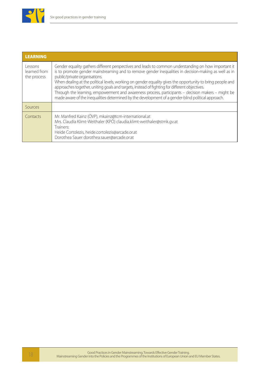

| <b>LEARNING</b>                        |                                                                                                                                                                                                                                                                                                                                                                                                                                                                                                                                                                                                                                                                           |
|----------------------------------------|---------------------------------------------------------------------------------------------------------------------------------------------------------------------------------------------------------------------------------------------------------------------------------------------------------------------------------------------------------------------------------------------------------------------------------------------------------------------------------------------------------------------------------------------------------------------------------------------------------------------------------------------------------------------------|
| Lessons<br>learned from<br>the process | Gender equality gathers different perspectives and leads to common understanding on how important it<br>is to promote gender mainstreaming and to remove gender inequalities in decision-making as well as in<br>public/private organisations.<br>When dealing at the political levels, working on gender equality gives the opportunity to bring people and<br>approaches together, uniting goals and targets, instead of fighting for different objectives.<br>Through the learning, empowerment and awareness process, participants - decision makers - might be<br>made aware of the inequalities determined by the development of a gender-blind political approach. |
| Sources                                |                                                                                                                                                                                                                                                                                                                                                                                                                                                                                                                                                                                                                                                                           |
| Contacts                               | Mr. Manfred Kainz (ÖVP), mkainz@tcm-international.at<br>Mrs. Claudia Klimt-Weithaler (KPÖ) claudia.klimt-weithaler@stmk.gv.at<br>Trainers <sup>.</sup><br>Heide Cortolezis, heide.cortolezis@arcade.or.at<br>Dorothea Sauer dorothea.sauer@arcade.or.at                                                                                                                                                                                                                                                                                                                                                                                                                   |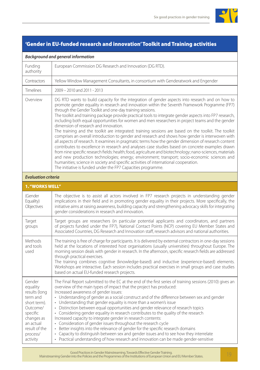

### 'Gender in EU-funded research and innovation' Toolkit and Training activities

#### *Background and general information*

| Funding<br>authority                                                                                                                                        | European Commission DG Research and Innovation (DG RTD).                                                                                                                                                                                                                                                                                                                                                                                                                                                                                                                                                                                                                                                                                                                                                                                                                                                                                                                                                                                                                                                                                                                                                                                                                                                              |
|-------------------------------------------------------------------------------------------------------------------------------------------------------------|-----------------------------------------------------------------------------------------------------------------------------------------------------------------------------------------------------------------------------------------------------------------------------------------------------------------------------------------------------------------------------------------------------------------------------------------------------------------------------------------------------------------------------------------------------------------------------------------------------------------------------------------------------------------------------------------------------------------------------------------------------------------------------------------------------------------------------------------------------------------------------------------------------------------------------------------------------------------------------------------------------------------------------------------------------------------------------------------------------------------------------------------------------------------------------------------------------------------------------------------------------------------------------------------------------------------------|
| Contractors                                                                                                                                                 | Yellow Window Management Consultants, in consortium with Genderatwork and Engender                                                                                                                                                                                                                                                                                                                                                                                                                                                                                                                                                                                                                                                                                                                                                                                                                                                                                                                                                                                                                                                                                                                                                                                                                                    |
| Timelines                                                                                                                                                   | 2009 - 2010 and 2011 - 2013                                                                                                                                                                                                                                                                                                                                                                                                                                                                                                                                                                                                                                                                                                                                                                                                                                                                                                                                                                                                                                                                                                                                                                                                                                                                                           |
| Overview                                                                                                                                                    | DG RTD wants to build capacity for the integration of gender aspects into research and on how to<br>promote gender equality in research and innovation within the Seventh Framework Programme (FP7)<br>through the Gender Toolkit and one-day training sessions.<br>The toolkit and training package provide practical tools to integrate gender aspects into FP7 research,<br>including both equal opportunities for women and men researchers in project teams and the gender<br>dimension of research and innovation.<br>The training and the toolkit are integrated: training sessions are based on the toolkit. The toolkit<br>comprises an overall introduction to gender and research and shows how gender is interwoven with<br>all aspects of research. It examines in pragmatic terms how the gender dimension of research content<br>contributes to excellence in research and analyses case studies based on concrete examples drawn<br>from nine specific research fields: health; food, agriculture and biotechnology; nano-sciences, materials<br>and new production technologies; energy; environment; transport; socio-economic sciences and<br>humanities; science in society and specific activities of international cooperation.<br>The initiative is funded under the FP7 Capacities programme. |
| <b>Evaluation criteria</b>                                                                                                                                  |                                                                                                                                                                                                                                                                                                                                                                                                                                                                                                                                                                                                                                                                                                                                                                                                                                                                                                                                                                                                                                                                                                                                                                                                                                                                                                                       |
| 1. "WORKS WELL"                                                                                                                                             |                                                                                                                                                                                                                                                                                                                                                                                                                                                                                                                                                                                                                                                                                                                                                                                                                                                                                                                                                                                                                                                                                                                                                                                                                                                                                                                       |
| (Gender<br>Equality)<br>Objectives                                                                                                                          | The objective is to assist all actors involved in FP7 research projects in understanding gender<br>implications in their field and in promoting gender equality in their projects. More specifically, the<br>initiative aims at raising awareness, building capacity and strengthening advocacy skills for integrating<br>gender considerations in research and innovation.                                                                                                                                                                                                                                                                                                                                                                                                                                                                                                                                                                                                                                                                                                                                                                                                                                                                                                                                           |
| Target<br>groups                                                                                                                                            | Target groups are researchers (in particular potential applicants and coordinators, and partners<br>of projects funded under the FP7), National Contact Points (NCP) covering EU Member States and<br>Associated Countries, DG Research and Innovation staff, research advisors and national authorities.                                                                                                                                                                                                                                                                                                                                                                                                                                                                                                                                                                                                                                                                                                                                                                                                                                                                                                                                                                                                             |
| Methods<br>and tools<br>used                                                                                                                                | The training is free of charge for participants. It is delivered by external contractors in one-day sessions<br>held at the locations of interested host organisations (usually universities) throughout Europe. The<br>morning session deals with gender in research. In the afternoon, specific research fields are addressed<br>through practical exercises.<br>The training combines cognitive (knowledge-based) and inductive (experience-based) elements.<br>Workshops are interactive. Each session includes practical exercises in small groups and case studies<br>based on actual EU-funded research projects.                                                                                                                                                                                                                                                                                                                                                                                                                                                                                                                                                                                                                                                                                              |
| Gender<br>equality<br>results (long<br>term and<br>short term).<br>Outcome/<br>specific<br>changes as<br>an actual<br>result of the<br>process/<br>activity | The Final Report submitted to the EC at the end of the first series of training sessions (2010) gives an<br>overview of the main types of impact that the project has produced:<br>Increased awareness of gender issues:<br>• Understanding of gender as a social construct and of the difference between sex and gender<br>• Understanding that gender equality is more than a women's issue<br>• Distinction between equal opportunities and gender relevance of research topics<br>• Considering gender equality in research contributes to the quality of the research<br>Increased capacity to integrate gender in research contents:<br>• Consideration of gender issues throughout the research cycle<br>• Better insights into the relevance of gender for the specific research domains<br>Capacity to distinguish between sex and gender issues and to see how they interrelate<br>$\bullet$<br>Practical understanding of how research and innovation can be made gender-sensitive                                                                                                                                                                                                                                                                                                                         |

Good Practices in Gender Mainstreaming. Towards Effective Gender Training. Mainstreaming Gender into the Policies and the Programmes of the Institutions of European Union and EU Member States. 19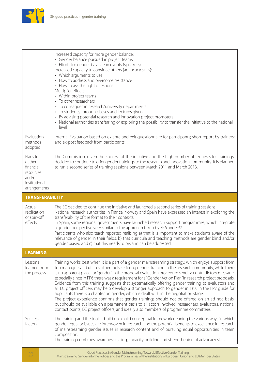

|                                                                                         | Increased capacity for more gender balance:<br>• Gender balance pursued in project teams<br>• Efforts for gender balance in events (speakers)<br>Increased capacity to convince others (advocacy skills):<br>• Which arguments to use<br>• How to address and overcome resistance<br>• How to ask the right questions<br>Multiplier effects:<br>• Within project teams<br>• To other researchers<br>• To colleagues in research/university departments<br>• To students, through classes and lectures given<br>• By advising potential research and innovation project promoters<br>• National authorities transferring or exploring the possibility to transfer the initiative to the national<br>level                                                                                                                                                                                                                                                                                                                                           |
|-----------------------------------------------------------------------------------------|----------------------------------------------------------------------------------------------------------------------------------------------------------------------------------------------------------------------------------------------------------------------------------------------------------------------------------------------------------------------------------------------------------------------------------------------------------------------------------------------------------------------------------------------------------------------------------------------------------------------------------------------------------------------------------------------------------------------------------------------------------------------------------------------------------------------------------------------------------------------------------------------------------------------------------------------------------------------------------------------------------------------------------------------------|
| Evaluation<br>methods<br>adopted                                                        | Internal Evaluation based on ex-ante and exit questionnaire for participants; short report by trainers;<br>and ex-post feedback from participants.                                                                                                                                                                                                                                                                                                                                                                                                                                                                                                                                                                                                                                                                                                                                                                                                                                                                                                 |
| Plans to<br>gather<br>financial<br>resources<br>and/or<br>institutional<br>arrangements | The Commission, given the success of the initiative and the high number of requests for trainings,<br>decided to continue to offer gender trainings to the research and innovation community. It is planned<br>to run a second series of training sessions between March 2011 and March 2013.                                                                                                                                                                                                                                                                                                                                                                                                                                                                                                                                                                                                                                                                                                                                                      |
| <b>TRANSFERABILITY</b>                                                                  |                                                                                                                                                                                                                                                                                                                                                                                                                                                                                                                                                                                                                                                                                                                                                                                                                                                                                                                                                                                                                                                    |
| Actual<br>replication<br>or spin-off<br>effects                                         | The EC decided to continue the initiative and launched a second series of training sessions.<br>National research authorities in France, Norway and Spain have expressed an interest in exploring the<br>transferability of the format to their contexts.<br>In Spain, some regional governments have launched research support programmes, which integrate<br>a gender perspective very similar to the approach taken by FP6 and FP7.<br>Participants who also teach reported realising a) that it is important to make students aware of the<br>relevance of gender in their fields, b) that curricula and teaching methods are gender blind and/or<br>gender biased and c) that this needs to be, and can be addressed.                                                                                                                                                                                                                                                                                                                         |
| <b>LEARNING</b>                                                                         |                                                                                                                                                                                                                                                                                                                                                                                                                                                                                                                                                                                                                                                                                                                                                                                                                                                                                                                                                                                                                                                    |
| Lessons<br>learned from<br>the process                                                  | Training works best when it is a part of a gender mainstreaming strategy, which enjoys support from<br>top managers and utilises other tools. Offering gender training to the research community, while there<br>is no apparent place for "gender" in the proposal evaluation procedure sends a contradictory message,<br>especially since in FP6 there was a requirement for a "Gender Action Plan" in research project proposals.<br>Evidence from this training suggests that systematically offering gender training to evaluators and<br>all EC project officers may help develop a stronger approach to gender in FP7. In the FP7 guide for<br>applicants there is a chapter on gender, which is dealt with in the negotiation stage.<br>The project experience confirms that gender trainings should not be offered on an ad hoc basis,<br>but should be available on a permanent basis to all actors involved: researchers, evaluators, national<br>contact points, EC project officers, and ideally also members of programme committees. |
|                                                                                         |                                                                                                                                                                                                                                                                                                                                                                                                                                                                                                                                                                                                                                                                                                                                                                                                                                                                                                                                                                                                                                                    |

Good Practices in Gender Mainstreaming. Towards Effective Gender Training. <sup>20</sup> Mainstreaming Gender into the Policies and the Programmes of the Institutions of European Union and EU Member States.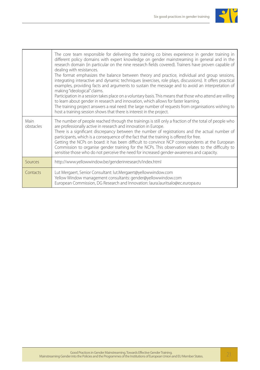

|                   | The core team responsible for delivering the training co bines experience in gender training in<br>different policy domains with expert knowledge on gender mainstreaming in general and in the<br>research domain (in particular on the nine research fields covered). Trainers have proven capable of<br>dealing with resistances.<br>The format emphasizes the balance between theory and practice, individual and group sessions,<br>integrating interactive and dynamic techniques (exercises, role plays, discussions). It offers practical<br>examples, providing facts and arguments to sustain the message and to avoid an interpretation of<br>making "ideological" claims.<br>Participation in a session takes place on a voluntary basis. This means that those who attend are willing<br>to learn about gender in research and innovation, which allows for faster learning.<br>The training project answers a real need: the large number of requests from organisations wishing to<br>host a training session shows that there is interest in the project. |
|-------------------|---------------------------------------------------------------------------------------------------------------------------------------------------------------------------------------------------------------------------------------------------------------------------------------------------------------------------------------------------------------------------------------------------------------------------------------------------------------------------------------------------------------------------------------------------------------------------------------------------------------------------------------------------------------------------------------------------------------------------------------------------------------------------------------------------------------------------------------------------------------------------------------------------------------------------------------------------------------------------------------------------------------------------------------------------------------------------|
| Main<br>obstacles | The number of people reached through the trainings is still only a fraction of the total of people who<br>are professionally active in research and innovation in Europe.<br>There is a significant discrepancy between the number of registrations and the actual number of<br>participants, which is a consequence of the fact that the training is offered for free.<br>Getting the NCPs on board: it has been difficult to convince NCP correspondents at the European<br>Commission to organise gender training for the NCPs. This observation relates to the difficulty to<br>sensitise those who do not perceive the need for increased gender-awareness and capacity.                                                                                                                                                                                                                                                                                                                                                                                             |
| Sources           | http://www.yellowwindow.be/genderinresearch/index.html                                                                                                                                                                                                                                                                                                                                                                                                                                                                                                                                                                                                                                                                                                                                                                                                                                                                                                                                                                                                                    |
| Contacts          | Lut Mergaert, Senior Consultant: lut.Mergaert@yellowwindow.com<br>Yellow Window management consultants: gender@yellowwindow.com<br>European Commission, DG Research and Innovation: laura.lauritsalo@ec.europa.eu                                                                                                                                                                                                                                                                                                                                                                                                                                                                                                                                                                                                                                                                                                                                                                                                                                                         |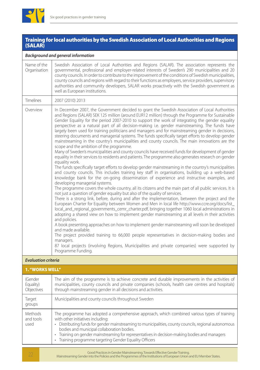

#### Training for local authorities by the Swedish Association of Local Authorities and Regions (SALAR)

#### *Background and general information*

| Name of the<br>Organisation | Swedish Association of Local Authorities and Regions (SALAR). The association represents the<br>governmental, professional and employer-related interests of Sweden's 290 municipalities and 20<br>county councils. In order to contribute to the improvement of the conditions of Swedish municipalities,<br>county councils and regions with regard to their functions as employers, service providers, supervisory<br>authorities and community developers, SALAR works proactively with the Swedish government as<br>well as European institutions.                                                                                                                                                                                                                                                                                                                                                                                                                                                                                                                                                                                                                                                                                                                                                                                                                                                                                                                                                                                                                                                                                                                                                                                                                                                                                                                                                                                                                                                                                                                                                                                                                                                                                                                                                                               |
|-----------------------------|---------------------------------------------------------------------------------------------------------------------------------------------------------------------------------------------------------------------------------------------------------------------------------------------------------------------------------------------------------------------------------------------------------------------------------------------------------------------------------------------------------------------------------------------------------------------------------------------------------------------------------------------------------------------------------------------------------------------------------------------------------------------------------------------------------------------------------------------------------------------------------------------------------------------------------------------------------------------------------------------------------------------------------------------------------------------------------------------------------------------------------------------------------------------------------------------------------------------------------------------------------------------------------------------------------------------------------------------------------------------------------------------------------------------------------------------------------------------------------------------------------------------------------------------------------------------------------------------------------------------------------------------------------------------------------------------------------------------------------------------------------------------------------------------------------------------------------------------------------------------------------------------------------------------------------------------------------------------------------------------------------------------------------------------------------------------------------------------------------------------------------------------------------------------------------------------------------------------------------------------------------------------------------------------------------------------------------------|
| <b>Timelines</b>            | 2007 (2010) 2013                                                                                                                                                                                                                                                                                                                                                                                                                                                                                                                                                                                                                                                                                                                                                                                                                                                                                                                                                                                                                                                                                                                                                                                                                                                                                                                                                                                                                                                                                                                                                                                                                                                                                                                                                                                                                                                                                                                                                                                                                                                                                                                                                                                                                                                                                                                      |
| Overview                    | In December 2007, the Government decided to grant the Swedish Association of Local Authorities<br>and Regions (SALAR) SEK 125 million (around EUR12 million) through the Programme for Sustainable<br>Gender Equality for the period 2007-2010 to support the work of integrating the gender equality<br>perspective as a natural part of all decision-making i.e. gender mainstreaming. The funds have<br>largely been used for training politicians and managers and for mainstreaming gender in decisions,<br>steering documents and managerial systems. The funds specifically target efforts to develop gender<br>mainstreaming in the country's municipalities and county councils. The main innovations are the<br>scope and the ambition of the programme.<br>Many of Sweden's municipalities and county councils have received funds for development of gender<br>equality in their services to residents and patients. The programme also generates research on gender<br>equality work.<br>The funds specifically target efforts to develop gender mainstreaming in the country's municipalities<br>and county councils. This includes training key staff in organisations, building up a web-based<br>knowledge bank for the on-going dissemination of experience and instructive examples, and<br>developing managerial systems.<br>The programme covers the whole country, all its citizens and the main part of all public services. It is<br>not just a question of gender equality but also of the quality of services.<br>There is a strong link, before, during and after the implementation, between the project and the<br>European Charter for Equality between Women and Men in local life http://www.ccre.org/docs/list_<br>local_and_regional_governments_cemr_charter.pdf, bringing together 1060 local administrations in<br>adopting a shared view on how to implement gender mainstreaming at all levels in their activities<br>and policies.<br>A book presenting approaches on how to implement gender mainstreaming will soon be developed<br>and made available.<br>The project provided training to 66,000 people representatives in decision-making bodies and<br>managers.<br>87 local projects (involving Regions, Municipalities and private companies) were supported by<br>Programme Funding. |
| <b>Evaluation criteria</b>  |                                                                                                                                                                                                                                                                                                                                                                                                                                                                                                                                                                                                                                                                                                                                                                                                                                                                                                                                                                                                                                                                                                                                                                                                                                                                                                                                                                                                                                                                                                                                                                                                                                                                                                                                                                                                                                                                                                                                                                                                                                                                                                                                                                                                                                                                                                                                       |

| <b>1. "WORKS WELL"</b>             |                                                                                                                                                                                                                                                                                                                                                                                                                                                |  |
|------------------------------------|------------------------------------------------------------------------------------------------------------------------------------------------------------------------------------------------------------------------------------------------------------------------------------------------------------------------------------------------------------------------------------------------------------------------------------------------|--|
| (Gender<br>Equality)<br>Objectives | The aim of the programme is to achieve concrete and durable improvements in the activities of<br>municipalities, county councils and private companies (schools, health care centres and hospitals)<br>through mainstreaming gender in all decisions and activities.                                                                                                                                                                           |  |
| Target<br>groups                   | Municipalities and county councils throughout Sweden                                                                                                                                                                                                                                                                                                                                                                                           |  |
| Methods<br>and tools<br>used       | The programme has adopted a comprehensive approach, which combined various types of training<br>with other initiatives including:<br>Distributing funds for gender mainstreaming to municipalities, county councils, regional autonomous<br>bodies and municipal collaboration bodies.<br>Training on gender mainstreaming for representatives in decision-making bodies and managers<br>Training programme targeting Gender Equality Officers |  |

Good Practices in Gender Mainstreaming. Towards Effective Gender Training.<br>22 Mainstreaming Gender into the Policies and the Programmes of the Institutions of European Union and EU Member States.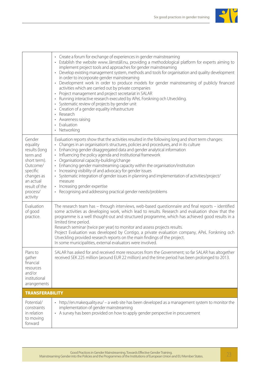

|                                                                                                                                                             | • Create a forum for exchange of experiences in gender mainstreaming<br>• Establish the website www.Jämställ.nu, providing a methodological platform for experts aiming to<br>implement project tools and approaches for gender mainstreaming<br>• Develop existing management system, methods and tools for organisation and quality development<br>in order to incorporate gender mainstreaming<br>• Development work in order to produce models for gender mainstreaming of publicly financed<br>activities which are carried out by private companies<br>• Project management and project secretariat in SALAR<br>• Running interactive research executed by APeL Forskning och Utveckling.<br>• Systematic review of projects by gender unit<br>• Creation of a gender equality infrastructure<br>• Research<br>• Awareness raising<br>• Evaluation<br>• Networking |
|-------------------------------------------------------------------------------------------------------------------------------------------------------------|--------------------------------------------------------------------------------------------------------------------------------------------------------------------------------------------------------------------------------------------------------------------------------------------------------------------------------------------------------------------------------------------------------------------------------------------------------------------------------------------------------------------------------------------------------------------------------------------------------------------------------------------------------------------------------------------------------------------------------------------------------------------------------------------------------------------------------------------------------------------------|
| Gender<br>equality<br>results (long<br>term and<br>short term).<br>Outcome/<br>specific<br>changes as<br>an actual<br>result of the<br>process/<br>activity | Evaluation reports show that the activities resulted in the following long and short term changes:<br>• Changes in an organisation's structures, policies and procedures, and in its culture<br>• Enhancing gender disaggregated data and gender analytical information<br>• Influencing the policy agenda and institutional framework<br>• Organisational capacity-building/change<br>• Enhancing gender mainstreaming capacity within the organisation/institution<br>• Increasing visibility of and advocacy for gender issues<br>· Systematic integration of gender issues in planning and implementation of activities/project/<br>measure<br>• Increasing gender expertise<br>• Recognising and addressing practical gender needs/problems                                                                                                                         |
| Evaluation<br>of good<br>practice.                                                                                                                          | The research team has - through interviews, web-based questionnaire and final reports - identified<br>some activities as developing work, which lead to results. Research and evaluation show that the<br>programme is a well thought-out and structured programme, which has achieved good results in a<br>limited time period.<br>Research seminar (twice per year) to monitor and assess projects results.<br>Project Evaluation was developed by Contigo, a private evaluation company, APeL Forskning och<br>Utveckling provided research reports on the main findings of the project.<br>In some municipalities, external evaluators were involved.                                                                                                                                                                                                                |
| Plans to<br>gather<br>financial<br>resources<br>and/or<br>institutional<br>arrangements                                                                     | SALAR has asked for and received more resources from the Government; so far SALAR has altogether<br>received SEK 225 million (around EUR 22 million) and the time period has been prolonged to 2013.                                                                                                                                                                                                                                                                                                                                                                                                                                                                                                                                                                                                                                                                     |
| <b>TRANSFERABILITY</b>                                                                                                                                      |                                                                                                                                                                                                                                                                                                                                                                                                                                                                                                                                                                                                                                                                                                                                                                                                                                                                          |
| Potential/<br>constraints<br>in relation<br>to moving<br>forward                                                                                            | • http://en.makequality.eu/ - a web site has been developed as a management system to monitor the<br>implementation of gender mainstreaming<br>• A survey has been provided on how to apply gender perspective in procurement                                                                                                                                                                                                                                                                                                                                                                                                                                                                                                                                                                                                                                            |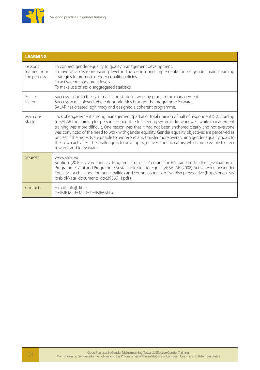

| <b>LEARNING</b>                        |                                                                                                                                                                                                                                                                                                                                                                                                                                                                                                                                                                                                                                                                         |
|----------------------------------------|-------------------------------------------------------------------------------------------------------------------------------------------------------------------------------------------------------------------------------------------------------------------------------------------------------------------------------------------------------------------------------------------------------------------------------------------------------------------------------------------------------------------------------------------------------------------------------------------------------------------------------------------------------------------------|
| Lessons<br>learned from<br>the process | To connect gender equality to quality management development.<br>To involve a decision-making level in the design and implementation of gender mainstreaming<br>strategies to promote gender equality policies.<br>To activate management levels.<br>To make use of sex disaggregated statistics.                                                                                                                                                                                                                                                                                                                                                                       |
| Success<br>factors                     | Success is due to the systematic and strategic work by programme management.<br>Success was achieved where right priorities brought the programme forward.<br>SALAR has created legitimacy and designed a coherent programme.                                                                                                                                                                                                                                                                                                                                                                                                                                           |
| Main ob-<br>stacles                    | Lack of engagement among management (partial or total opinion of half of respondents). According<br>to SALAR the training for persons responsible for steering systems did work well, while management<br>training was more difficult. One reason was that it had not been anchored clearly and not everyone<br>was convinced of the need to work with gender equality. Gender equality objectives are perceived as<br>unclear if the projects are unable to reinterpret and transfer more overarching gender equality goals to<br>their own activities. The challenge is to develop objectives and indicators, which are possible to steer<br>towards and to evaluate. |
| Sources                                | www salar eu<br>Kontigo (2010) Utvärdering av Program Jämi och Program för Hållbar Jämställdhet (Evaluation of<br>Programme Jämi and Programme Sustainable Gender Equality); SALAR (2008) Active work for Gender<br>Equality - a challenge for municipalities and county councils. A Swedish perspective (http://brs.skl.se/<br>brsbibl/kata_documents/doc39566_1.pdf)                                                                                                                                                                                                                                                                                                  |
| Contacts                               | E-mail: info@skl.se<br>Trollvik Marie Marie.Trollvik@skl.se                                                                                                                                                                                                                                                                                                                                                                                                                                                                                                                                                                                                             |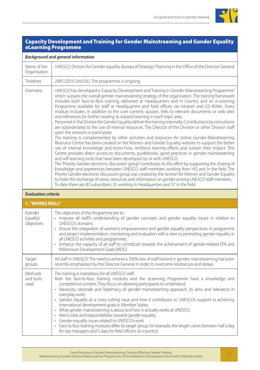

#### Capacity Development and Training for Gender Mainstreaming and Gender Equality eLearning Programme

#### *Background and general information*

| Name of the<br>Organisation | UNESCO. Division for Gender equality. Bureau of Strategic Planning in the Office of the Director-General                                                                                                                                                                                                                                                                                                                                                                                                                                                                                                                                                                                                                                                                                                                                                                                                                                                                                                                                                                                                                                                                                                                                                                                                                                                                                                                                                                                                                                                                                                                                                                                                                                                                                                                                                     |
|-----------------------------|--------------------------------------------------------------------------------------------------------------------------------------------------------------------------------------------------------------------------------------------------------------------------------------------------------------------------------------------------------------------------------------------------------------------------------------------------------------------------------------------------------------------------------------------------------------------------------------------------------------------------------------------------------------------------------------------------------------------------------------------------------------------------------------------------------------------------------------------------------------------------------------------------------------------------------------------------------------------------------------------------------------------------------------------------------------------------------------------------------------------------------------------------------------------------------------------------------------------------------------------------------------------------------------------------------------------------------------------------------------------------------------------------------------------------------------------------------------------------------------------------------------------------------------------------------------------------------------------------------------------------------------------------------------------------------------------------------------------------------------------------------------------------------------------------------------------------------------------------------------|
| <b>Timelines</b>            | 2005 (2010 2nd Ed.). The programme is ongoing                                                                                                                                                                                                                                                                                                                                                                                                                                                                                                                                                                                                                                                                                                                                                                                                                                                                                                                                                                                                                                                                                                                                                                                                                                                                                                                                                                                                                                                                                                                                                                                                                                                                                                                                                                                                                |
| Overview                    | UNESCO has developed a "Capacity Development and Training in Gender Mainstreaming Programme"<br>which sustains the overall gender mainstreaming strategy of the organisation. The training framework<br>includes both face-to-face training, delivered at Headquarters and in country and an e-Learning<br>Programme available for staff at Headquarters and field offices via intranet and CD-ROMs. Every<br>module includes, in addition to the core content, quizzes, links to relevant documents or web sites<br>and references for further reading to expand learning in each topic area.<br>Personnel in the Division for Gender Equality deliver the training internally. Contributions by consultants<br>are subordinated to the use of internal resources. The Director of the Division or other Division staff<br>open the sessions or participate.<br>The training is complemented by other activities and resources An online Gender-Mainstreaming<br>Resource Centre has been created on the Women and Gender Equality website to support the better<br>use of internal knowledge and know-how, reinforce training efforts and sustain their impact. This<br>Centre provides direct access to documents, guidebooks, good practices in gender mainstreaming<br>and self-learning tools that have been developed by or with UNESCO.<br>The "Priority-Gender electronic discussion group" contributes to this effort by supporting the sharing of<br>knowledge and experiences between UNESCO staff members working from HQ and in the field. The<br>Priority-Gender electronic discussion group was created by the Section for Women and Gender Equality<br>to foster the exchange of views, resources and information on gender among UNESCO staff members.<br>To date there are 82 subscribers: 25 working in Headquarters and 57 in the field |
|                             |                                                                                                                                                                                                                                                                                                                                                                                                                                                                                                                                                                                                                                                                                                                                                                                                                                                                                                                                                                                                                                                                                                                                                                                                                                                                                                                                                                                                                                                                                                                                                                                                                                                                                                                                                                                                                                                              |

#### *Evaluation criteria*

| 1. "WORKS WELL"                    |                                                                                                                                                                                                                                                                                                                                                                                                                                                                                                                                                                                                                                                                                                                                                                                                                                                                                                                                 |  |
|------------------------------------|---------------------------------------------------------------------------------------------------------------------------------------------------------------------------------------------------------------------------------------------------------------------------------------------------------------------------------------------------------------------------------------------------------------------------------------------------------------------------------------------------------------------------------------------------------------------------------------------------------------------------------------------------------------------------------------------------------------------------------------------------------------------------------------------------------------------------------------------------------------------------------------------------------------------------------|--|
| (Gender<br>Equality)<br>Objectives | The objectives of the Programme are to:<br>• Improve all staff's understanding of gender concepts and gender equality issues in relation to<br>UNESCO's domains;<br>Ensure the integration of women's empowerment and gender equality perspectives in programme<br>$\bullet$<br>and project implementation, monitoring and evaluation with a view to promoting gender equality in<br>all UNESCO activities and programmes;<br>Enhance the capacity of all staff to contribute towards the achievement of gender-related EFA and<br>$\bullet$<br>Millennium Development Goals (MDG).                                                                                                                                                                                                                                                                                                                                             |  |
| Target<br>groups                   | All staff in UNESCO. The need to achieve a 100% rate of staff trained in gender mainstreaming has been<br>recently emphasized by the Director-General in order to overcome resistances and delays                                                                                                                                                                                                                                                                                                                                                                                                                                                                                                                                                                                                                                                                                                                               |  |
| Methods<br>and tools<br>used       | The training is mandatory for all UNESCO staff.<br>Both the face-to-face training modules and the eLearning Programme have a knowledge and<br>competence content. They focus on allowing participants to understand:<br>• Necessity, rationale and legitimacy of gender mainstreaming approach, its aims and relevance in<br>everyday work;<br>• Gender equality as a cross-cutting issue and how it contributes to UNESCO's support to achieving<br>international development goals in Member States;<br>What gender mainstreaming is about and how it actually works at UNESCO;<br>$\bullet$<br>Men's roles and responsibilities towards gender equality<br>$\bullet$<br>Gender-equality issues related to UNESCO's work<br>$\bullet$<br>Face to face training modules differ by target group: for example, the length varies between half a day<br>$\bullet$<br>for top managers and 5 days for field officers (in-country). |  |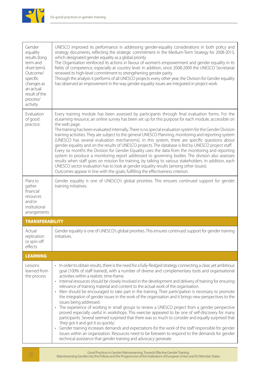

| Gender<br>equality<br>results (long<br>term and<br>short term).<br>Outcome/<br>specific<br>changes as<br>an actual<br>result of the<br>process/<br>activity | UNESCO improved its performance in addressing gender-equality considerations in both policy and<br>strategy documents, reflecting the strategic commitment in the Medium-Term Strategy for 2008-2013,<br>which designated gender equality as a global priority.<br>The Organisation reinforced its actions in favour of women's empowerment and gender equality in its<br>fields of competence, especially at country level. In addition, since 2008-2009 the UNESCO Secretariat<br>renewed its high-level commitment to strengthening gender parity.<br>Through the analysis it performs of all UNESCO projects every other year, the Division for Gender equality<br>has observed an improvement in the way gender equality issues are integrated in project work.                                                                                                                                                                                                                                                                                                                                                                                                                                                                                                                                                                                        |
|-------------------------------------------------------------------------------------------------------------------------------------------------------------|-------------------------------------------------------------------------------------------------------------------------------------------------------------------------------------------------------------------------------------------------------------------------------------------------------------------------------------------------------------------------------------------------------------------------------------------------------------------------------------------------------------------------------------------------------------------------------------------------------------------------------------------------------------------------------------------------------------------------------------------------------------------------------------------------------------------------------------------------------------------------------------------------------------------------------------------------------------------------------------------------------------------------------------------------------------------------------------------------------------------------------------------------------------------------------------------------------------------------------------------------------------------------------------------------------------------------------------------------------------|
| Evaluation<br>of good<br>practice.                                                                                                                          | Every training module has been assessed by participants through final evaluation forms. For the<br>eLearning resource, an online survey has been set up for this purpose for each module, accessible on<br>the web page.<br>The training has been evaluated internally. There is no special evaluation system for the Gender Division<br>training activities. They are subject to the general UNESCO Planning, monitoring and reporting system<br>(UNESCO has several evaluation mechanisms). In this system, there are specific questions about<br>gender equality and on the results of UNESCO projects. The database is fed by UNESCO project staff.<br>Every six months the Division for Gender Equality uses the data from the monitoring and reporting<br>system to produce a monitoring report addressed to governing bodies. The division also assesses<br>results when staff goes on mission for training, by talking to various stakeholders. In addition, each<br>UNESCO sector evaluation has to look at gender equality results (among other issues).<br>Outcomes appear in line with the goals, fulfilling the effectiveness criterion.                                                                                                                                                                                                       |
| Plans to<br>gather<br>financial<br>resources<br>and/or<br>institutional<br>arrangements                                                                     | Gender equality is one of UNESCO's global priorities. This ensures continued support for gender<br>training initiatives.                                                                                                                                                                                                                                                                                                                                                                                                                                                                                                                                                                                                                                                                                                                                                                                                                                                                                                                                                                                                                                                                                                                                                                                                                                    |
| <b>TRANSFERABILITY</b>                                                                                                                                      |                                                                                                                                                                                                                                                                                                                                                                                                                                                                                                                                                                                                                                                                                                                                                                                                                                                                                                                                                                                                                                                                                                                                                                                                                                                                                                                                                             |
| Actual<br>replication<br>or spin-off<br>effects                                                                                                             | Gender equality is one of UNESCO's global priorities. This ensures continued support for gender training<br>initiatives.                                                                                                                                                                                                                                                                                                                                                                                                                                                                                                                                                                                                                                                                                                                                                                                                                                                                                                                                                                                                                                                                                                                                                                                                                                    |
| <b>LEARNING</b>                                                                                                                                             |                                                                                                                                                                                                                                                                                                                                                                                                                                                                                                                                                                                                                                                                                                                                                                                                                                                                                                                                                                                                                                                                                                                                                                                                                                                                                                                                                             |
| Lessons<br>learned from<br>the process                                                                                                                      | • In order to obtain results, there is the need for a fully-fledged strategy connecting a clear, yet ambitious<br>goal (100% of staff trained), with a number of diverse and complementary tools and organisational<br>activities within a realistic time-frame.<br>• Internal resources should be closely involved in the development and delivery of training for ensuring<br>relevance of training material and content to the actual work of the organisation.<br>• Men should be encouraged to take part in the training. Their participation is necessary to promote<br>the integration of gender issues in the work of the organisation and it brings new perspectives to the<br>issues being addressed.<br>• The experience of working in small groups to review a UNESCO project from a gender perspective<br>proved especially useful in workshops. This exercise appeared to be one of self-discovery for many<br>participants. Several seemed surprised that there was so much to consider and equally surprised that<br>'they got it and got it so quickly'.<br>• Gender training increases demands and expectations for the work of the staff responsible for gender<br>issues within an organization. Resources need to be foreseen to respond to the demands for gender<br>technical assistance that gender training and advocacy generate. |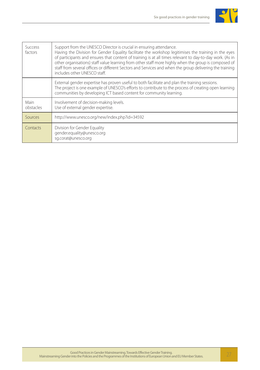

| <b>Success</b><br>factors | Support from the UNESCO Director is crucial in ensuring attendance.<br>Having the Division for Gender Equality facilitate the workshop legitimises the training in the eyes<br>of participants and ensures that content of training is at all times relevant to day-to-day work. (As in<br>other organisations) staff value learning from other staff more highly when the group is composed of<br>staff from several offices or different Sectors and Services and when the group delivering the training<br>includes other UNESCO staff. |
|---------------------------|--------------------------------------------------------------------------------------------------------------------------------------------------------------------------------------------------------------------------------------------------------------------------------------------------------------------------------------------------------------------------------------------------------------------------------------------------------------------------------------------------------------------------------------------|
|                           | External gender expertise has proven useful to both facilitate and plan the training sessions.<br>The project is one example of UNESCO's efforts to contribute to the process of creating open learning<br>communities by developing ICT based content for community learning.                                                                                                                                                                                                                                                             |
| Main<br>obstacles         | Involvement of decision-making levels.<br>Use of external gender expertise.                                                                                                                                                                                                                                                                                                                                                                                                                                                                |
| Sources                   | http://www.unesco.org/new/index.php?id=34592                                                                                                                                                                                                                                                                                                                                                                                                                                                                                               |
| Contacts                  | Division for Gender Equality<br>gender.equality@unesco.org<br>sq.corat@unesco.org                                                                                                                                                                                                                                                                                                                                                                                                                                                          |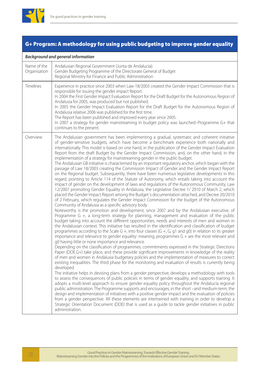

### G+ Program: A methodology for using public budgeting to improve gender equality

#### *Background and general information*

| Name of the<br>Organisation | Andalusian Regional Government (Junta de Andalucía):<br>Gender Budgeting Programme of the Directorate General of Budget<br>Regional Ministry for Finance and Public Administration                                                                                                                                                                                                                                                                                                                                                                                                                                                                                                                                                                                                                                                                                                                                                                                                                                                                                                                                                                                                                                                                                                                                                                                                                                                                                                                                                                                                                                                                                                                                                                                                                                                                                                                                                                                                                                                                                                                                                                                                                                                                                                                                                                                                                                                                                                                                                                                                                                                                                                                                                                                                                                                                                                                                                                                                                                                                                                                                                                                                                                                             |
|-----------------------------|------------------------------------------------------------------------------------------------------------------------------------------------------------------------------------------------------------------------------------------------------------------------------------------------------------------------------------------------------------------------------------------------------------------------------------------------------------------------------------------------------------------------------------------------------------------------------------------------------------------------------------------------------------------------------------------------------------------------------------------------------------------------------------------------------------------------------------------------------------------------------------------------------------------------------------------------------------------------------------------------------------------------------------------------------------------------------------------------------------------------------------------------------------------------------------------------------------------------------------------------------------------------------------------------------------------------------------------------------------------------------------------------------------------------------------------------------------------------------------------------------------------------------------------------------------------------------------------------------------------------------------------------------------------------------------------------------------------------------------------------------------------------------------------------------------------------------------------------------------------------------------------------------------------------------------------------------------------------------------------------------------------------------------------------------------------------------------------------------------------------------------------------------------------------------------------------------------------------------------------------------------------------------------------------------------------------------------------------------------------------------------------------------------------------------------------------------------------------------------------------------------------------------------------------------------------------------------------------------------------------------------------------------------------------------------------------------------------------------------------------------------------------------------------------------------------------------------------------------------------------------------------------------------------------------------------------------------------------------------------------------------------------------------------------------------------------------------------------------------------------------------------------------------------------------------------------------------------------------------------------|
| <b>Timelines</b>            | Experience in practice since 2003 when Law 18/2003 created the Gender Impact Commission that is<br>responsible for issuing the gender impact Report.<br>In 2004 the First Gender Impact Evaluation Report for the Draft Budget for the Autonomous Region of<br>Andalusia for 2005, was produced but not published.<br>In 2005 the Gender Impact Evaluation Report for the Draft Budget for the Autonomous Region of<br>Andalusia relative 2006 was published for the first time.<br>The Report has been published and improved every year since 2005.<br>In 2007 a strategy for gender mainstreaming in budget policy was launched-Programme G+ that<br>continues to the present.                                                                                                                                                                                                                                                                                                                                                                                                                                                                                                                                                                                                                                                                                                                                                                                                                                                                                                                                                                                                                                                                                                                                                                                                                                                                                                                                                                                                                                                                                                                                                                                                                                                                                                                                                                                                                                                                                                                                                                                                                                                                                                                                                                                                                                                                                                                                                                                                                                                                                                                                                              |
| Overview                    | The Andalusian government has been implementing a gradual, systematic and coherent initiative<br>of gender-sensitive budgets, which have become a benchmark experience both nationally and<br>internationally. This model is based on one hand, in the publication of the Gender Impact Evaluation<br>Report from the draft Budget by the Gender Impact Commission, and, on the other hand, in the<br>implementation of a strategy for mainstreaming gender in the public budget.<br>The Andalusian GB initiative is characterised by an important regulatory anchor, which began with the<br>passage of Law 18/2003 creating the Commission Impact of Gender and the Gender Impact Report<br>on the Regional budget. Subsequently, there have been numerous legislative developments in this<br>regard, pointing to Article 114 of the Statute of Autonomy, which entails taking into account the<br>impact of gender on the development of laws and regulations of the Autonomous Community, Law<br>12/2007 promoting Gender Equality in Andalusia, the Legislative Decree 1/2010 of March 2, which<br>placed the Gender Impact Report among the Budget's documentation attached, and Decree 20/2010<br>of 2 February, which regulates the Gender Impact Commission for the budget of the Autonomous<br>Community of Andalusia as a specific advisory body.<br>Noteworthy is the promotion and development, since 2007 and by the Andalusian executive, of<br>Programme G +, a long-term strategy for planning, management and evaluation of the public<br>budget taking into account the different opportunities, needs and interests of men and women in<br>the Andalusian context. This initiative has resulted in the identification and classification of budget<br>programmes according to the Scale G +, into four classes (G +, G, g1 and g0) in relation to its greater<br>importance and relevance to gender equality: meaning, programmes $G +$ are the most relevant and<br>g0 having little or none importance and relevance.<br>Depending on the classification of programmes, commitments expressed in the Strategic Directions<br>Paper (DOE.G+) take place, and these provide significant improvements in knowledge of the reality<br>of men and women in Andalusia budgetary policies and the implementation of measures to correct<br>existing inequalities. The third phase for the monitoring and evaluation of results is currently being<br>developed.<br>The initiative helps in devising plans from a gender perspective; develops a methodology with tools<br>to assess the consequences of public policies in terms of gender equality, and supports training. It<br>adopts a multi-level approach to ensure gender equality policy throughout the Andalucía regional<br>public administration. The Programme supports and encourages, in the short -and medium-term, the<br>design and implementation of initiatives with a positive gender impact and the evaluation of policies<br>from a gender perspective. All these elements are intertwined with training in order to develop a<br>Strategic Orientation Document (DOE) that is used as a guide to tackle gender initiatives in public<br>administration. |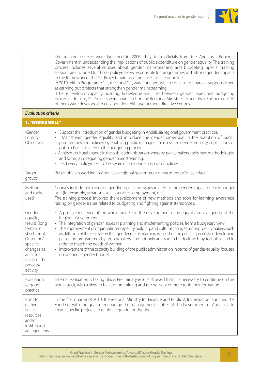

The training courses were launched in 2006: they train officials from the Andalusia Regional Government in understanding the implications of public expenditure on gender equality. The training process includes several courses about gender mainstreaming and budgeting. Special training sessions are included for those policymakers responsible for programmes with strong gender impacts in the framework of the G+ Project. Training either face-to-face or online. In 2010 within Programme G+, the Fund G+, was launched, which constitutes financial support aimed at carrying out projects that strengthen gender mainstreaming.

It helps reinforce capacity building, knowledge and links between gender issues and budgeting processes. In sum, 22 Projects were financed from all Regional Ministries expect two. Furthermore 10 of them were developed in collaboration with two or more directive centres.

#### *Evaluation criteria*

| <b>1. "WORKS WELL"</b>                                                                                                                                      |                                                                                                                                                                                                                                                                                                                                                                                                                                                                                                                                                                                                                                                                                                                                        |
|-------------------------------------------------------------------------------------------------------------------------------------------------------------|----------------------------------------------------------------------------------------------------------------------------------------------------------------------------------------------------------------------------------------------------------------------------------------------------------------------------------------------------------------------------------------------------------------------------------------------------------------------------------------------------------------------------------------------------------------------------------------------------------------------------------------------------------------------------------------------------------------------------------------|
| (Gender<br>Equality)<br>Objectives                                                                                                                          | Support the introduction of gender budgeting in Andalusia regional government practices.<br>Mainstream gender equality and introduce the gender dimension in the adoption of public<br>programmes and policies, by enabling public managers to assess the gender equality implications of<br>public choices related to the budgeting process.<br>• Achieve a cultural change in the public administration whereby policymakers apply new methodologies<br>and formulas integrating gender mainstreaming.<br>• Lead every policymaker to be aware of the gender impact of policies.                                                                                                                                                     |
| Target<br>groups                                                                                                                                            | Public officials working in Andalusia regional government departments (Consejerías).                                                                                                                                                                                                                                                                                                                                                                                                                                                                                                                                                                                                                                                   |
| Methods<br>and tools<br>used                                                                                                                                | Courses include both specific gender topics and issues related to the gender impact of each budget<br>unit (for example, urbanism, social services, employment, etc.).<br>The training process involved the development of new methods and tools for learning, awareness<br>raising on gender issues related to budgeting and fighting against stereotypes.                                                                                                                                                                                                                                                                                                                                                                            |
| Gender<br>equality<br>results (long<br>term and<br>short term).<br>Outcome/<br>specific<br>changes as<br>an actual<br>result of the<br>process/<br>activity | • A positive influence of the whole process in the development of an equality policy agenda, of the<br>Regional Government<br>The integration of gender issues in planning and implementing policies, from a budgetary view<br>The improvement of organisational capacity building, and cultural changes among policymakers, such<br>as diffusion of the realization that gender mainstreaming is a part of the political process of developing<br>plans and programmes by policymakers, and not only an issue to be dealt with by technical staff in<br>order to match the needs of women.<br>• Improvement of the capacity building of the public administration in terms of gender equality focused<br>on drafting a gender budget. |
| Fvaluation<br>of good<br>practice.                                                                                                                          | Internal evaluation is taking place. Preliminary results showed that it is necessary to continue on this<br>actual track, with a view to be kept on training and the delivery of more tools for information.                                                                                                                                                                                                                                                                                                                                                                                                                                                                                                                           |
| Plans to<br>gather<br>financial<br>resources<br>and/or<br>institutional<br>arrangements                                                                     | In the first quarter of 2010, the regional Ministry for Finance and Public Administration launched the<br>Fund G+ with the goal to encourage the management centres of the Government of Andalusia to<br>create specific projects to reinforce gender budgeting.                                                                                                                                                                                                                                                                                                                                                                                                                                                                       |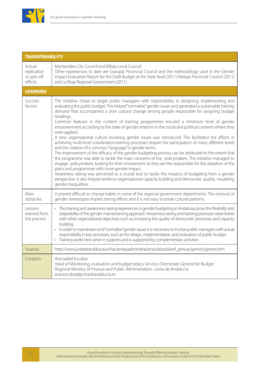

| <b>TRANSFERABILITY</b>                          |                                                                                                                                                                                                                                                                                                                                                                                                                                                                                                                                                                                                                                                                                                                                                                                                                                                                                                                                                                                                                                                                                                                                                                                                                                                                                                                                                                                                                                                      |
|-------------------------------------------------|------------------------------------------------------------------------------------------------------------------------------------------------------------------------------------------------------------------------------------------------------------------------------------------------------------------------------------------------------------------------------------------------------------------------------------------------------------------------------------------------------------------------------------------------------------------------------------------------------------------------------------------------------------------------------------------------------------------------------------------------------------------------------------------------------------------------------------------------------------------------------------------------------------------------------------------------------------------------------------------------------------------------------------------------------------------------------------------------------------------------------------------------------------------------------------------------------------------------------------------------------------------------------------------------------------------------------------------------------------------------------------------------------------------------------------------------------|
| Actual<br>replication<br>or spin-off<br>effects | Montevideo City Council and Bilbao Local Council.<br>Other experiences to date are Granada Provincial Council and the methodology used in the Gender<br>Impact Evaluation Report for the Draft Budget at the State level (2011) Malaga Provincial Council (2011)<br>and La Rioja Regional Government (2011).                                                                                                                                                                                                                                                                                                                                                                                                                                                                                                                                                                                                                                                                                                                                                                                                                                                                                                                                                                                                                                                                                                                                         |
| <b>LEARNING</b>                                 |                                                                                                                                                                                                                                                                                                                                                                                                                                                                                                                                                                                                                                                                                                                                                                                                                                                                                                                                                                                                                                                                                                                                                                                                                                                                                                                                                                                                                                                      |
| <b>Success</b><br>factors                       | The initiative chose to target public managers with responsibility in designing, implementing and<br>evaluating the public budget. This helped "normalise" gender issues and generated a sustainable training<br>demand that accompanied a slow cultural change among people responsible for assigning budget<br>headings.<br>Common features in the content of training programmes ensured a minimum level of gender<br>empowerment according to the state of gender relations in the social and political contexts where they<br>were applied.<br>A new organisational culture involving gender issues was introduced. This facilitated the efforts in<br>achieving multi-level coordination-training processes require the participation of many different levels<br>and the creation of a common "language" in gender terms.<br>The improvement of the efficacy of the gender budgeting process can be attributed to the extent that<br>the programme was able to tackle the main concerns of the policymakers. The initiative managed to<br>engage policymakers, looking for their involvement as they are the responsible for the adoption of the<br>plans and programmes with more gender impact.<br>Awareness raising was perceived as a crucial tool to tackle the impacts of budgeting from a gender<br>perspective. It also helped reinforce organisational capacity building and democratic quality, visualising<br>gender inequalities. |
| Main<br>obstacles                               | It proved difficult to change habits in some of the regional government departments. The removal of<br>gender stereotypes implies strong efforts and it is not easy to break cultural patterns.                                                                                                                                                                                                                                                                                                                                                                                                                                                                                                                                                                                                                                                                                                                                                                                                                                                                                                                                                                                                                                                                                                                                                                                                                                                      |
| Lessons<br>learned from<br>the process          | • The training and awareness-raising experiences in gender budgeting in Andalusia prove the flexibility and<br>adaptability of the gender mainstreaming approach. Awareness raising and training processes were linked<br>with other organisational objectives such as increasing the quality of democratic processes and capacity<br>building.<br>In order to mainstream and "normalise" gender issues it is necessary to involve public managers with actual<br>responsibility in key processes, such as the design, implementation, and evaluation of public budget.<br>• Training works best when it supports and is supported by complementary activities                                                                                                                                                                                                                                                                                                                                                                                                                                                                                                                                                                                                                                                                                                                                                                                       |
| <b>Sources</b>                                  | http://www.juntadeandalucia.es/haciendayadministracionpublica/planif_presup/genero/genero.htm                                                                                                                                                                                                                                                                                                                                                                                                                                                                                                                                                                                                                                                                                                                                                                                                                                                                                                                                                                                                                                                                                                                                                                                                                                                                                                                                                        |
| Contacts                                        | Ana Isabel Escobar<br>Head of Monitoring, evaluation and budget policy Service. Directorate General for Budget<br>Regional Ministry of Finance and Public Administration- Junta de Andalucía<br>anai.escobar@juntadeandalucia.es                                                                                                                                                                                                                                                                                                                                                                                                                                                                                                                                                                                                                                                                                                                                                                                                                                                                                                                                                                                                                                                                                                                                                                                                                     |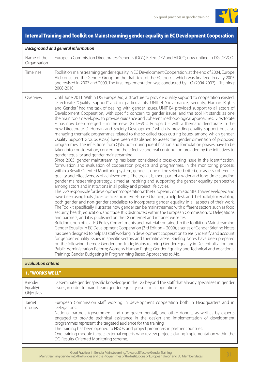

### Internal Training and Toolkit on Mainstreaming gender equality in EC Development Cooperation

#### *Background and general information*

| Name of the<br>Organisation | European Commission Directorates Generals (DG's) Relex, DEV and AIDCO, now unified in DG DEVCO                                                                                                                                                                                                                                                                                                                                                                                                                                                                                                                                                                                                                                                                                                                                                                                                                                                                                                                                                                                                                                                                                                                                                                                                                                                                                                                                                                                                                                                                                                                                                                                                                                                                                                                                                                                                                                                                                                                                                                                                                                                                                                                                                                                                                                                                                                                                                                                                                                                                                                                                                                                                                                                                                                                                                                                                                                                                                                                                                                                                                                                 |
|-----------------------------|------------------------------------------------------------------------------------------------------------------------------------------------------------------------------------------------------------------------------------------------------------------------------------------------------------------------------------------------------------------------------------------------------------------------------------------------------------------------------------------------------------------------------------------------------------------------------------------------------------------------------------------------------------------------------------------------------------------------------------------------------------------------------------------------------------------------------------------------------------------------------------------------------------------------------------------------------------------------------------------------------------------------------------------------------------------------------------------------------------------------------------------------------------------------------------------------------------------------------------------------------------------------------------------------------------------------------------------------------------------------------------------------------------------------------------------------------------------------------------------------------------------------------------------------------------------------------------------------------------------------------------------------------------------------------------------------------------------------------------------------------------------------------------------------------------------------------------------------------------------------------------------------------------------------------------------------------------------------------------------------------------------------------------------------------------------------------------------------------------------------------------------------------------------------------------------------------------------------------------------------------------------------------------------------------------------------------------------------------------------------------------------------------------------------------------------------------------------------------------------------------------------------------------------------------------------------------------------------------------------------------------------------------------------------------------------------------------------------------------------------------------------------------------------------------------------------------------------------------------------------------------------------------------------------------------------------------------------------------------------------------------------------------------------------------------------------------------------------------------------------------------------------|
| <b>Timelines</b>            | Toolkit on mainstreaming gender equality in EC Development Cooperation: at the end of 2004, Europe<br>Aid consulted the Gender Group on the draft text of the EC toolkit, which was finalized in early 2005<br>and revised in 2007 and 2009. The first implementation was conducted by ILO (2004-2007) - Training:<br>2008-2010                                                                                                                                                                                                                                                                                                                                                                                                                                                                                                                                                                                                                                                                                                                                                                                                                                                                                                                                                                                                                                                                                                                                                                                                                                                                                                                                                                                                                                                                                                                                                                                                                                                                                                                                                                                                                                                                                                                                                                                                                                                                                                                                                                                                                                                                                                                                                                                                                                                                                                                                                                                                                                                                                                                                                                                                                |
| Overview                    | Until June 2011, Within DG Europe Aid, a structure to provide quality support to cooperation existed:<br>Directorate "Quality Support" and in particular its UNIT 4 "Governance, Security, Human Rights<br>and Gender" had the task of dealing with gender issues. UNIT E4 provided support to all actors of<br>Development Cooperation, with specific concern to gender issues, and the tool kit stands as one<br>the main tools developed to provide guidance and coherent methodological approaches. Directorate<br>E has now been merged - in the new DG DEVCO Europaid - with a thematic directorate in the<br>new Directorate D 'Human and Society Development' which is providing quality support but also<br>managing thematic programmes related to the so called 'cross cutting issues', among which gender.<br>Quality Support Groups (QSG) have been established to assess the gender dimension of proposed<br>programmes. The reflections from QSG, both during identification and formulation phases have to be<br>taken into consideration, concerning the effective and real contribution provided by the initiatives to<br>gender equality and gender mainstreaming.<br>Since 2005, gender mainstreaming has been considered a cross-cutting issue in the identification,<br>formulation and evaluation of cooperation projects and programmes. In the monitoring process,<br>within a Result Oriented Monitoring system, gender is one of the selected criteria, to assess coherence,<br>quality and effectiveness of achievements. The toolkit is, then, part of a wider and long-time standing<br>gender mainstreaming strategy, aimed at inspiring and supporting the gender equality perspective<br>among actors and institutions in all policy and project life cycles.<br>The DG's responsible for development cooperation at the European Commission (EC) have developed and<br>have been using tools (face-to-face and internet-based training, a helpdesk, and the toolkit) for enabling<br>both gender and non-gender specialists to incorporate gender equality in all aspects of their work.<br>The Toolkit specifically illustrates how gender can be mainstreamed with different sectors such as food<br>security, health, education, and trade. It is distributed within the European Commission, to Delegations<br>and partners, and it is published on the DG internet and intranet websites.<br>Building upon official EU Policy Commitments and material contained in the Toolkit on Mainstreaming<br>Gender Equality in EC Development Cooperation (3rd Edition - 2009), a series of Gender Briefing Notes<br>has been designed to help EU staff working in development cooperation to easily identify and account<br>for gender equality issues in specific sectors and thematic areas. Briefing Notes have been prepared<br>on the following themes: Gender and Trade; Mainstreaming Gender Equality in Decentralisation and<br>Public Administration Reform; Women's Human Rights; Gender Equality and Technical and Vocational<br>Training; Gender Budgeting in Programming Based Approaches to Aid. |

#### *Evaluation criteria*

| <b>1. "WORKS WELL"</b>             |                                                                                                                                                                                                                                                                                                                                                                                                                                                                                                                                                                                                         |
|------------------------------------|---------------------------------------------------------------------------------------------------------------------------------------------------------------------------------------------------------------------------------------------------------------------------------------------------------------------------------------------------------------------------------------------------------------------------------------------------------------------------------------------------------------------------------------------------------------------------------------------------------|
| (Gender<br>Equality)<br>Objectives | Disseminate gender specific knowledge in the DG beyond the staff that already specialises in gender<br>issues, in order to mainstream gender equality issues in all operations.                                                                                                                                                                                                                                                                                                                                                                                                                         |
| Target<br>groups                   | European Commission staff working in development cooperation both in Headquarters and in<br>Delegations.<br>National partners (government and non-governmental), and other donors, as well as by experts<br>engaged to provide technical assistance in the design and implementation of development<br>programmes represent the targeted audience for the training.<br>The training has been opened to NGO's and project promoters in partner countries.<br>One training module targets external experts who review projects during implementation within the<br>DG Results-Oriented Monitoring scheme. |

Good Practices in Gender Mainstreaming. Towards Effective Gender Training. Mainstreaming Gender into the Policies and the Programmes of the Institutions of European Union and EU Member States. 31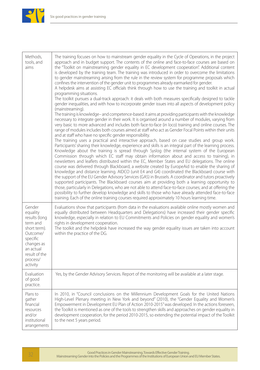

| Methods,<br>tools, and<br>aims                                                                                                                              | The training focuses on how to mainstream gender equality in the Cycle of Operations, in the project<br>approach and in budget support. The contents of the online and face-to-face courses are based on<br>the "Toolkit on mainstreaming gender equality in EC development cooperation". Additional content<br>is developed by the training team. The training was introduced in order to overcome the limitations<br>to gender mainstreaming arising from the rule in the review system for programme proposals which<br>confines the intervention of the gender unit to programmes already earmarked for gender.<br>A helpdesk aims at assisting EC officials think through how to use the training and toolkit in actual<br>programming situations.<br>The toolkit pursues a dual-track approach: it deals with both measures specifically designed to tackle<br>gender inequalities, and with how to incorporate gender issues into all aspects of development policy<br>(mainstreaming).<br>The training is knowledge- and competence-based: it aims at providing participants with the knowledge<br>necessary to integrate gender in their work. It is organised around a number of modules, varying from<br>very basic to more advanced and includes both face-to-face (in loco) training and online courses. The<br>range of modules includes both courses aimed at staff who act as Gender Focal Points within their units<br>and at staff who have no specific gender responsibility.<br>The training uses a practical and interactive approach, based on case studies and group work.<br>Participants' sharing their knowledge, experience and skills is an integral part of the learning process.<br>Knowledge about the training is spread through Syslog (the internal system of the European<br>Commission through which EC staff may obtain information about and access to training), in<br>newsletters and leaflets distributed within the EC, Member States and EU delegations. The online<br>course was delivered through Blackboard, a website created by EuropeAid to enable the sharing of<br>knowledge and distance learning. AIDCO (unit E4 and G4) coordinated the Blackboard course with<br>the support of the EU Gender Advisory Services (GAS) in Brussels. A coordinator and tutors proactively<br>supported participants. The Blackboard courses aim at providing both a learning opportunity to<br>those, particularly in Delegations, who are not able to attend face-to-face courses; and at offering the<br>possibility to further develop knowledge and skills to those who have already attended face-to-face<br>training. Each of the online training courses required approximately 10 hours learning time. |
|-------------------------------------------------------------------------------------------------------------------------------------------------------------|-----------------------------------------------------------------------------------------------------------------------------------------------------------------------------------------------------------------------------------------------------------------------------------------------------------------------------------------------------------------------------------------------------------------------------------------------------------------------------------------------------------------------------------------------------------------------------------------------------------------------------------------------------------------------------------------------------------------------------------------------------------------------------------------------------------------------------------------------------------------------------------------------------------------------------------------------------------------------------------------------------------------------------------------------------------------------------------------------------------------------------------------------------------------------------------------------------------------------------------------------------------------------------------------------------------------------------------------------------------------------------------------------------------------------------------------------------------------------------------------------------------------------------------------------------------------------------------------------------------------------------------------------------------------------------------------------------------------------------------------------------------------------------------------------------------------------------------------------------------------------------------------------------------------------------------------------------------------------------------------------------------------------------------------------------------------------------------------------------------------------------------------------------------------------------------------------------------------------------------------------------------------------------------------------------------------------------------------------------------------------------------------------------------------------------------------------------------------------------------------------------------------------------------------------------------------------------------------------------------------------------------------------------------------------------------------------------------------------------------------------------|
| Gender<br>equality<br>results (long<br>term and<br>short term).<br>Outcome/<br>specific<br>changes as<br>an actual<br>result of the<br>process/<br>activity | Evaluations show that participants (from data in the evaluations available online mostly women and<br>equally distributed between Headquarters and Delegations) have increased their gender specific<br>knowledge, especially in relation to EU Commitments and Policies on gender equality and women's<br>rights in development cooperation.<br>The toolkit and the helpdesk have increased the way gender equality issues are taken into account<br>within the practice of the DG.                                                                                                                                                                                                                                                                                                                                                                                                                                                                                                                                                                                                                                                                                                                                                                                                                                                                                                                                                                                                                                                                                                                                                                                                                                                                                                                                                                                                                                                                                                                                                                                                                                                                                                                                                                                                                                                                                                                                                                                                                                                                                                                                                                                                                                                                |
| Evaluation<br>of good<br>practice.                                                                                                                          | Yes, by the Gender Advisory Services. Report of the monitoring will be available at a later stage.                                                                                                                                                                                                                                                                                                                                                                                                                                                                                                                                                                                                                                                                                                                                                                                                                                                                                                                                                                                                                                                                                                                                                                                                                                                                                                                                                                                                                                                                                                                                                                                                                                                                                                                                                                                                                                                                                                                                                                                                                                                                                                                                                                                                                                                                                                                                                                                                                                                                                                                                                                                                                                                  |
| Plans to<br>gather<br>financial<br>resources<br>and/or<br>institutional<br>arrangements                                                                     | In 2010, in "Council conclusions on the Millennium Development Goals for the United Nations<br>High-Level Plenary meeting in New York and beyond" (2010), the "Gender Equality and Women's<br>Empowerment in Development EU Plan of Action 2010-2015" was developed. In the actions foreseen,<br>the Toolkit is mentioned as one of the tools to strengthen skills and approaches on gender equality in<br>development cooperation, for the period 2010-2015, so extending the potential impact of the Toolkit<br>to the next 5 years period.                                                                                                                                                                                                                                                                                                                                                                                                                                                                                                                                                                                                                                                                                                                                                                                                                                                                                                                                                                                                                                                                                                                                                                                                                                                                                                                                                                                                                                                                                                                                                                                                                                                                                                                                                                                                                                                                                                                                                                                                                                                                                                                                                                                                       |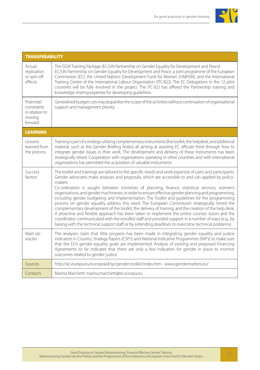

| <b>TRANSFERABILITY</b>                                           |                                                                                                                                                                                                                                                                                                                                                                                                                                                                                                                                                                                                                                                                                                                                                                                                                                                                                                                                                                                                                                                                    |
|------------------------------------------------------------------|--------------------------------------------------------------------------------------------------------------------------------------------------------------------------------------------------------------------------------------------------------------------------------------------------------------------------------------------------------------------------------------------------------------------------------------------------------------------------------------------------------------------------------------------------------------------------------------------------------------------------------------------------------------------------------------------------------------------------------------------------------------------------------------------------------------------------------------------------------------------------------------------------------------------------------------------------------------------------------------------------------------------------------------------------------------------|
| Actual<br>replication<br>or spin-off<br>effects                  | The 'GDA'Training Package (EC/UN Partnership on Gender Equality for Development and Peace)<br>EC/UN Partnership on Gender Equality for Development and Peace, a joint programme of the European<br>Commission (EC), the United Nations Development Fund for Women (UNIFEM), and the International<br>Training Centre of the International Labour Organisation (ITC/ILO). The EC Delegations in the 12 pilot<br>countries will be fully involved in the project. The ITC-ILO has offered the Partnership training and<br>knowledge-sharing expertise for developing quidelines.                                                                                                                                                                                                                                                                                                                                                                                                                                                                                     |
| Potential/<br>constraints<br>in relation to<br>moving<br>forward | Generalised budget cuts may jeopardise the scope of the activities without continuation of organisational<br>support and management priority.                                                                                                                                                                                                                                                                                                                                                                                                                                                                                                                                                                                                                                                                                                                                                                                                                                                                                                                      |
| <b>LEARNING</b>                                                  |                                                                                                                                                                                                                                                                                                                                                                                                                                                                                                                                                                                                                                                                                                                                                                                                                                                                                                                                                                                                                                                                    |
| Lessons<br>learned from<br>the process                           | Training is part of a strategy utilizing complementary instruments (the toolkit, the helpdesk, and additional<br>material, such as the Gender Briefing Notes) all aiming at assisting EC officials think through how to<br>integrate gender issues in their work. The development and delivery of these instruments has been<br>strategically timed. Cooperation with organisations operating in other countries and with international<br>organisations has permitted the acquisition of valuable instruments                                                                                                                                                                                                                                                                                                                                                                                                                                                                                                                                                     |
| <b>Success</b><br>factors                                        | The toolkit and trainings are tailored to the specific needs and work expertise of users and participants.<br>Gender advocates make analyses and proposals, which are accessible to and can applied by policy-<br>makers.<br>Co-ordination is sought between ministries of planning, finance, statistical services, women's<br>organisations, and gender machineries, in order to ensure effective gender planning and programming,<br>including gender budgeting and implementation. The Toolkit and guidelines for the programming<br>process on gender equality address this need. The European Commission strategically timed the<br>complementary development of the toolkit, the delivery of training, and the creation of the help desk.<br>A proactive and flexible approach has been taken to implement the online courses: tutors and the<br>coordinator communicated with the enrolled staff and provided support in a number of ways (e.g., by<br>liaising with the technical support staff or by extending deadlines to overcome technical problems). |
| Main ob-<br>stacles                                              | The analyses claim that little progress has been made in integrating gender equality and justice<br>indicators in Country Strategy Papers (CSP's) and National Indicative Programmes (NIP's) to make sure<br>that the EU's gender equality goals are implemented. Analysis of existing and proposed Financing<br>Agreements so far indicates that there are only a few indicators for gender in place to monitor<br>outcomes related to gender justice.                                                                                                                                                                                                                                                                                                                                                                                                                                                                                                                                                                                                            |
| Sources                                                          | http://ec.europa.eu/europeaid/sp/gender-toolkit/index.htm - www.gendermatters.eu/                                                                                                                                                                                                                                                                                                                                                                                                                                                                                                                                                                                                                                                                                                                                                                                                                                                                                                                                                                                  |
| Contacts                                                         | Marina Marchetti marina.marchetti@ec.europa.eu                                                                                                                                                                                                                                                                                                                                                                                                                                                                                                                                                                                                                                                                                                                                                                                                                                                                                                                                                                                                                     |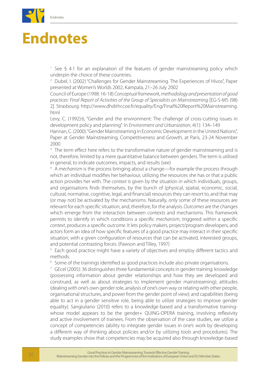

# **Endnotes**

<sup>1</sup> See § 4.1 for an explanation of the features of gender mainstreaming policy which underpin the choice of these countries.

<sup>2</sup> Dubel, I. (2002) "Challenges for Gender Mainstreaming. The Experiences of Hivos", Paper presented at Women's Worlds 2002, Kampala, 21–26 July 2002

Council of Europe (1998: 16-18) *Conceptual framework, methodology and presentation of good practices: Final Report of Activities of the Group of Specialists on Mainstreaming* [EG-S-MS (98) 2]. Strasbourg. http://www.dhdirhr.coe.fr/equality/Eng/Final%20Report%20Mainstreaming. html

Levy, C. (1992):6, "Gender and the environment: The challenge of cross-cutting issues in development policy and planning". In *Environment and Urbanization*, 4(1): 134–149

Hannan, C. (2000). "Gender Mainstreaming in Economic Development in the United Nations", Paper at Gender Mainstreaming, Competitiveness and Growth, at Paris, 23-24 November 2000

<sup>3</sup> The term effect here refers to the transformative nature of gender mainstreaming and is not, therefore, limited by a mere quantitative balance between genders. The term is utilised in general, to indicate outcomes, impacts, and results (see)

<sup>4</sup> A *mechanism* is the process bringing about a change—for example the process through which an individual modifies her behaviour, utilizing the resources she has or that a public action provides her with. The *context* is given by the situation in which individuals, groups, and organisations finds themselves, by the bunch of (physical, spatial, economic, social, cultural, normative, cognitive, legal, and financial) resources they can resort to, and that may (or may not) be activated by the mechanisms. Naturally, only some of these resources are relevant for each specific situation, and, therefore, for the analysis. *Outcomes* are the changes which emerge from the interaction between contexts and mechanisms. This framework permits to identify in which conditions a specific *mechanism*, triggered within a specific *context*, produces a specific *outcome*. It lets policy makers, project/program developers, and actors form an idea of how specific features of a good practice may interact in their specific situation, with a given configuration of resources that can be activated, interested groups, and potential contrasting forces. (Pawson and Tilley, 1997)

<sup>5</sup> Each good practice might have a variety of objectives and employ different tactics and methods.

<sup>6</sup> Some of the trainings identified as good practices include also private organisations.

 $7$  GEcel (2005): 36 distinguishes three fundamental concepts in gender training: knowledge (possessing information about gender relationships and how they are developed and construed, as well as about strategies to implement gender mainstreaming); attitudes (dealing with one's own gender role, analysis of one's own way or relating with other people, organisational structures, and power from the gender point of view); and capabilities (being able to act in a gender sensitive role, being able to utilize strategies to improve gender equality). Sangiuliano (2010) refers to a knowledge-based and a transformative trainingwhose model appears to be the gender+ QUING-OPERA training, involving reflexivity and active involvement of trainees. From the observation of the case studies, we utilize a concept of competencies (ability to integrate gender issues in one's work by developing a different way of thinking about policies and/or by utilizing tools and procedures). The study examples show that competencies may be acquired also through knowledge-based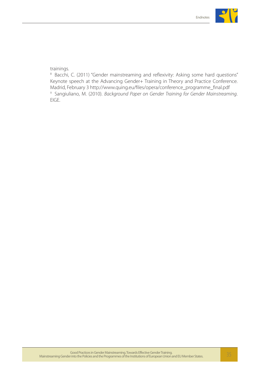

trainings.

<sup>8</sup> Bacchi, C. (2011) "Gender mainstreaming and reflexivity: Asking some hard questions" Keynote speech at the Advancing Gender+ Training in Theory and Practice Conference. Madrid, February 3 http://www.quing.eu/files/opera/conference\_programme\_final.pdf <sup>9</sup> Sangiuliano, M. (2010). *Background Paper on Gender Training for Gender Mainstreaming*. EIGE.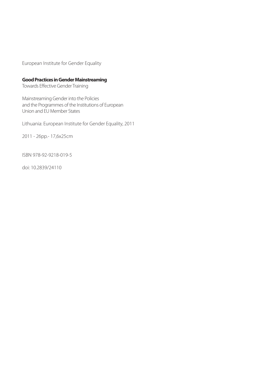European Institute for Gender Equality

#### **Good Practices in Gender Mainstreaming**

Towards Effective Gender Training

Mainstreaming Gender into the Policies and the Programmes of the Institutions of European Union and EU Member States

Lithuania: European Institute for Gender Equality, 2011

2011 - 26pp.- 17,6x25cm

ISBN 978-92-9218-019-5

doi: 10.2839/24110